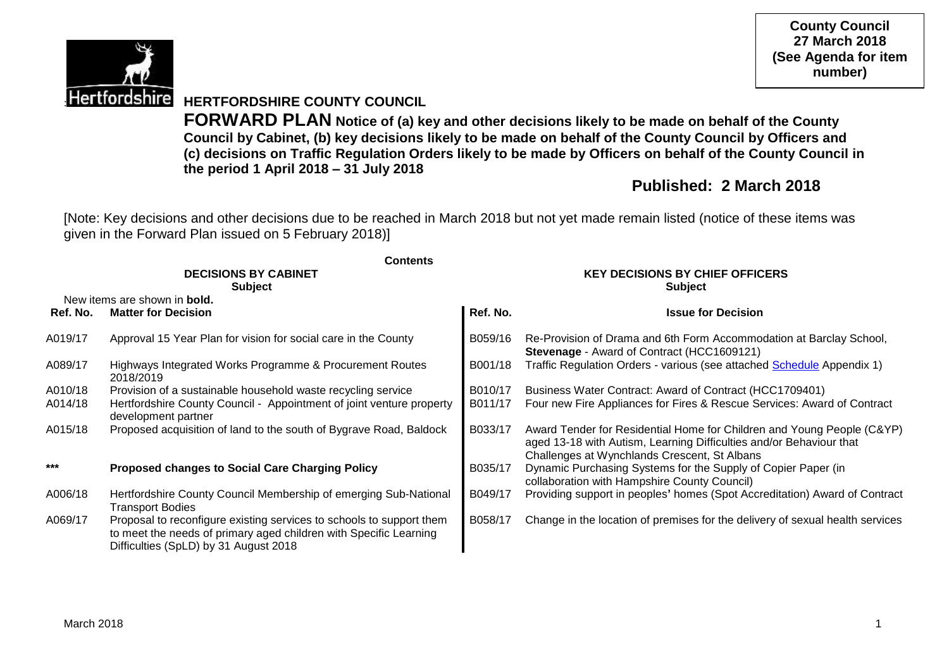

**County Council 27 March 2018 (See Agenda for item number)**

# **Hertfordshire HERTFORDSHIRE COUNTY COUNCIL**

**FORWARD PLAN Notice of (a) key and other decisions likely to be made on behalf of the County Council by Cabinet, (b) key decisions likely to be made on behalf of the County Council by Officers and (c) decisions on Traffic Regulation Orders likely to be made by Officers on behalf of the County Council in the period 1 April 2018 – 31 July 2018**

# **Published: 2 March 2018**

[Note: Key decisions and other decisions due to be reached in March 2018 but not yet made remain listed (notice of these items was given in the Forward Plan issued on 5 February 2018)]

|          | <b>Contents</b>                                                                                                                                                                    |                                        |                                                                                                                                                                                               |  |  |  |
|----------|------------------------------------------------------------------------------------------------------------------------------------------------------------------------------------|----------------------------------------|-----------------------------------------------------------------------------------------------------------------------------------------------------------------------------------------------|--|--|--|
|          | <b>DECISIONS BY CABINET</b>                                                                                                                                                        | <b>KEY DECISIONS BY CHIEF OFFICERS</b> |                                                                                                                                                                                               |  |  |  |
|          | <b>Subject</b>                                                                                                                                                                     |                                        | <b>Subject</b>                                                                                                                                                                                |  |  |  |
|          | New items are shown in <b>bold.</b>                                                                                                                                                |                                        |                                                                                                                                                                                               |  |  |  |
| Ref. No. | <b>Matter for Decision</b>                                                                                                                                                         | Ref. No.                               | <b>Issue for Decision</b>                                                                                                                                                                     |  |  |  |
| A019/17  | Approval 15 Year Plan for vision for social care in the County                                                                                                                     | B059/16                                | Re-Provision of Drama and 6th Form Accommodation at Barclay School,<br>Stevenage - Award of Contract (HCC1609121)                                                                             |  |  |  |
| A089/17  | Highways Integrated Works Programme & Procurement Routes<br>2018/2019                                                                                                              | B001/18                                | Traffic Regulation Orders - various (see attached Schedule Appendix 1)                                                                                                                        |  |  |  |
| A010/18  | Provision of a sustainable household waste recycling service                                                                                                                       | B010/17                                | Business Water Contract: Award of Contract (HCC1709401)                                                                                                                                       |  |  |  |
| A014/18  | Hertfordshire County Council - Appointment of joint venture property<br>development partner                                                                                        | B011/17                                | Four new Fire Appliances for Fires & Rescue Services: Award of Contract                                                                                                                       |  |  |  |
| A015/18  | Proposed acquisition of land to the south of Bygrave Road, Baldock                                                                                                                 | B033/17                                | Award Tender for Residential Home for Children and Young People (C&YP)<br>aged 13-18 with Autism, Learning Difficulties and/or Behaviour that<br>Challenges at Wynchlands Crescent, St Albans |  |  |  |
| $***$    | <b>Proposed changes to Social Care Charging Policy</b>                                                                                                                             | B035/17                                | Dynamic Purchasing Systems for the Supply of Copier Paper (in<br>collaboration with Hampshire County Council)                                                                                 |  |  |  |
| A006/18  | Hertfordshire County Council Membership of emerging Sub-National<br><b>Transport Bodies</b>                                                                                        | B049/17                                | Providing support in peoples' homes (Spot Accreditation) Award of Contract                                                                                                                    |  |  |  |
| A069/17  | Proposal to reconfigure existing services to schools to support them<br>to meet the needs of primary aged children with Specific Learning<br>Difficulties (SpLD) by 31 August 2018 | B058/17                                | Change in the location of premises for the delivery of sexual health services                                                                                                                 |  |  |  |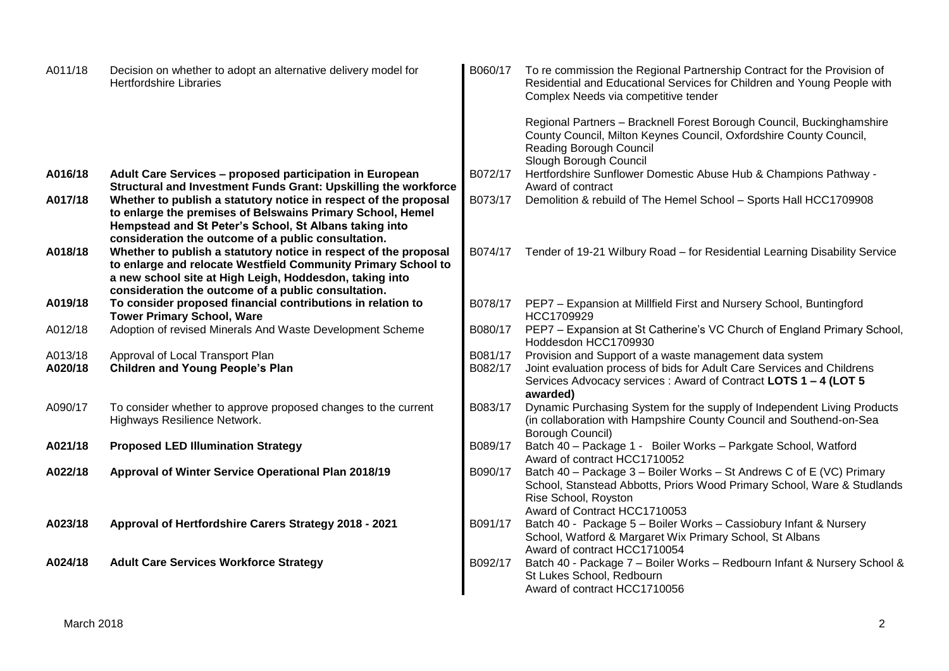| A011/18            | Decision on whether to adopt an alternative delivery model for<br><b>Hertfordshire Libraries</b>                                                                                                                                                    | B060/17            | To re commission the Regional Partnership Contract for the Provision of<br>Residential and Educational Services for Children and Young People with<br>Complex Needs via competitive tender                        |
|--------------------|-----------------------------------------------------------------------------------------------------------------------------------------------------------------------------------------------------------------------------------------------------|--------------------|-------------------------------------------------------------------------------------------------------------------------------------------------------------------------------------------------------------------|
|                    |                                                                                                                                                                                                                                                     |                    | Regional Partners - Bracknell Forest Borough Council, Buckinghamshire<br>County Council, Milton Keynes Council, Oxfordshire County Council,<br>Reading Borough Council<br>Slough Borough Council                  |
| A016/18            | Adult Care Services - proposed participation in European<br>Structural and Investment Funds Grant: Upskilling the workforce                                                                                                                         | B072/17            | Hertfordshire Sunflower Domestic Abuse Hub & Champions Pathway -<br>Award of contract                                                                                                                             |
| A017/18            | Whether to publish a statutory notice in respect of the proposal<br>to enlarge the premises of Belswains Primary School, Hemel<br>Hempstead and St Peter's School, St Albans taking into<br>consideration the outcome of a public consultation.     | B073/17            | Demolition & rebuild of The Hemel School - Sports Hall HCC1709908                                                                                                                                                 |
| A018/18            | Whether to publish a statutory notice in respect of the proposal<br>to enlarge and relocate Westfield Community Primary School to<br>a new school site at High Leigh, Hoddesdon, taking into<br>consideration the outcome of a public consultation. | B074/17            | Tender of 19-21 Wilbury Road - for Residential Learning Disability Service                                                                                                                                        |
| A019/18            | To consider proposed financial contributions in relation to<br><b>Tower Primary School, Ware</b>                                                                                                                                                    | B078/17            | PEP7 - Expansion at Millfield First and Nursery School, Buntingford<br>HCC1709929                                                                                                                                 |
| A012/18            | Adoption of revised Minerals And Waste Development Scheme                                                                                                                                                                                           | B080/17            | PEP7 - Expansion at St Catherine's VC Church of England Primary School,<br>Hoddesdon HCC1709930                                                                                                                   |
| A013/18<br>A020/18 | Approval of Local Transport Plan<br><b>Children and Young People's Plan</b>                                                                                                                                                                         | B081/17<br>B082/17 | Provision and Support of a waste management data system<br>Joint evaluation process of bids for Adult Care Services and Childrens<br>Services Advocacy services : Award of Contract LOTS 1 - 4 (LOT 5<br>awarded) |
| A090/17            | To consider whether to approve proposed changes to the current<br>Highways Resilience Network.                                                                                                                                                      | B083/17            | Dynamic Purchasing System for the supply of Independent Living Products<br>(in collaboration with Hampshire County Council and Southend-on-Sea<br>Borough Council)                                                |
| A021/18            | <b>Proposed LED Illumination Strategy</b>                                                                                                                                                                                                           | B089/17            | Batch 40 - Package 1 - Boiler Works - Parkgate School, Watford<br>Award of contract HCC1710052                                                                                                                    |
| A022/18            | Approval of Winter Service Operational Plan 2018/19                                                                                                                                                                                                 | B090/17            | Batch 40 - Package 3 - Boiler Works - St Andrews C of E (VC) Primary<br>School, Stanstead Abbotts, Priors Wood Primary School, Ware & Studlands<br>Rise School, Royston<br>Award of Contract HCC1710053           |
| A023/18            | Approval of Hertfordshire Carers Strategy 2018 - 2021                                                                                                                                                                                               | B091/17            | Batch 40 - Package 5 - Boiler Works - Cassiobury Infant & Nursery<br>School, Watford & Margaret Wix Primary School, St Albans<br>Award of contract HCC1710054                                                     |
| A024/18            | <b>Adult Care Services Workforce Strategy</b>                                                                                                                                                                                                       | B092/17            | Batch 40 - Package 7 - Boiler Works - Redbourn Infant & Nursery School &<br>St Lukes School, Redbourn<br>Award of contract HCC1710056                                                                             |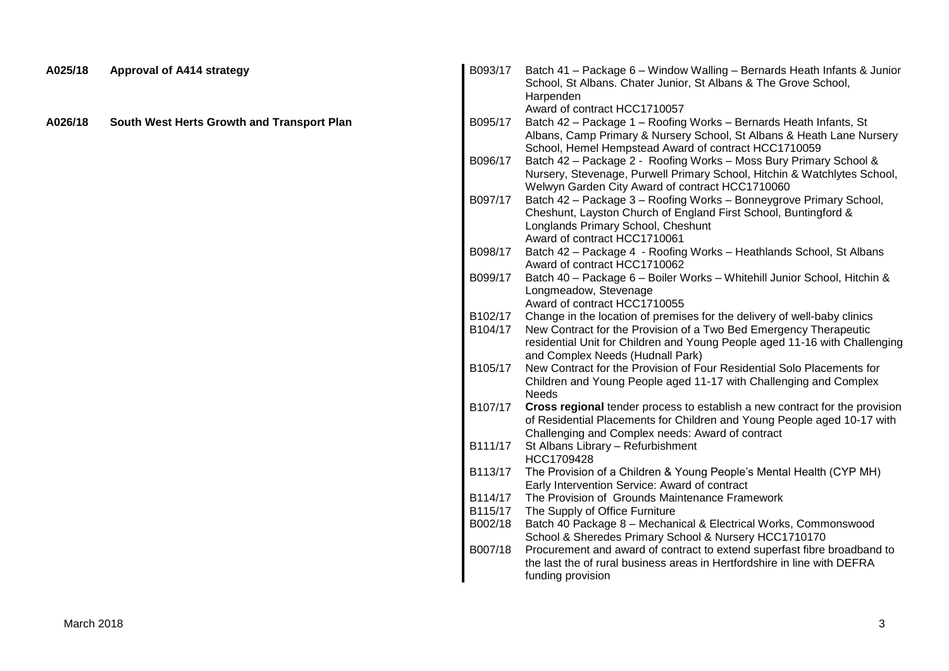| Harpenden<br>Award of contract HCC1710057<br>A026/18<br>South West Herts Growth and Transport Plan<br>B095/17<br>Batch 42 - Package 1 - Roofing Works - Bernards Heath Infants, St<br>Albans, Camp Primary & Nursery School, St Albans & Heath Lane Nursery<br>School, Hemel Hempstead Award of contract HCC1710059<br>Batch 42 - Package 2 - Roofing Works - Moss Bury Primary School &<br>B096/17<br>Nursery, Stevenage, Purwell Primary School, Hitchin & Watchlytes School,<br>Welwyn Garden City Award of contract HCC1710060<br>Batch 42 - Package 3 - Roofing Works - Bonneygrove Primary School,<br>B097/17<br>Cheshunt, Layston Church of England First School, Buntingford &<br>Longlands Primary School, Cheshunt<br>Award of contract HCC1710061<br>Batch 42 - Package 4 - Roofing Works - Heathlands School, St Albans<br>B098/17<br>Award of contract HCC1710062<br>Batch 40 - Package 6 - Boiler Works - Whitehill Junior School, Hitchin &<br>B099/17<br>Longmeadow, Stevenage<br>Award of contract HCC1710055<br>B102/17<br>Change in the location of premises for the delivery of well-baby clinics<br>New Contract for the Provision of a Two Bed Emergency Therapeutic<br>B104/17<br>residential Unit for Children and Young People aged 11-16 with Challenging<br>and Complex Needs (Hudnall Park)<br>New Contract for the Provision of Four Residential Solo Placements for<br>B105/17<br>Children and Young People aged 11-17 with Challenging and Complex<br>Needs<br>Cross regional tender process to establish a new contract for the provision<br>B107/17<br>of Residential Placements for Children and Young People aged 10-17 with<br>Challenging and Complex needs: Award of contract<br>B111/17<br>St Albans Library - Refurbishment<br>HCC1709428<br>B113/17<br>The Provision of a Children & Young People's Mental Health (CYP MH)<br>Early Intervention Service: Award of contract<br>The Provision of Grounds Maintenance Framework<br>B114/17<br>B115/17<br>The Supply of Office Furniture<br>B002/18<br>Batch 40 Package 8 - Mechanical & Electrical Works, Commonswood<br>School & Sheredes Primary School & Nursery HCC1710170<br>Procurement and award of contract to extend superfast fibre broadband to<br>B007/18<br>the last the of rural business areas in Hertfordshire in line with DEFRA<br>funding provision | A025/18 | <b>Approval of A414 strategy</b> | B093/17 | Batch 41 - Package 6 - Window Walling - Bernards Heath Infants & Junior<br>School, St Albans. Chater Junior, St Albans & The Grove School, |
|---------------------------------------------------------------------------------------------------------------------------------------------------------------------------------------------------------------------------------------------------------------------------------------------------------------------------------------------------------------------------------------------------------------------------------------------------------------------------------------------------------------------------------------------------------------------------------------------------------------------------------------------------------------------------------------------------------------------------------------------------------------------------------------------------------------------------------------------------------------------------------------------------------------------------------------------------------------------------------------------------------------------------------------------------------------------------------------------------------------------------------------------------------------------------------------------------------------------------------------------------------------------------------------------------------------------------------------------------------------------------------------------------------------------------------------------------------------------------------------------------------------------------------------------------------------------------------------------------------------------------------------------------------------------------------------------------------------------------------------------------------------------------------------------------------------------------------------------------------------------------------------------------------------------------------------------------------------------------------------------------------------------------------------------------------------------------------------------------------------------------------------------------------------------------------------------------------------------------------------------------------------------------------------------------------------------------------------------------------------|---------|----------------------------------|---------|--------------------------------------------------------------------------------------------------------------------------------------------|
|                                                                                                                                                                                                                                                                                                                                                                                                                                                                                                                                                                                                                                                                                                                                                                                                                                                                                                                                                                                                                                                                                                                                                                                                                                                                                                                                                                                                                                                                                                                                                                                                                                                                                                                                                                                                                                                                                                                                                                                                                                                                                                                                                                                                                                                                                                                                                               |         |                                  |         |                                                                                                                                            |
|                                                                                                                                                                                                                                                                                                                                                                                                                                                                                                                                                                                                                                                                                                                                                                                                                                                                                                                                                                                                                                                                                                                                                                                                                                                                                                                                                                                                                                                                                                                                                                                                                                                                                                                                                                                                                                                                                                                                                                                                                                                                                                                                                                                                                                                                                                                                                               |         |                                  |         |                                                                                                                                            |
|                                                                                                                                                                                                                                                                                                                                                                                                                                                                                                                                                                                                                                                                                                                                                                                                                                                                                                                                                                                                                                                                                                                                                                                                                                                                                                                                                                                                                                                                                                                                                                                                                                                                                                                                                                                                                                                                                                                                                                                                                                                                                                                                                                                                                                                                                                                                                               |         |                                  |         |                                                                                                                                            |
|                                                                                                                                                                                                                                                                                                                                                                                                                                                                                                                                                                                                                                                                                                                                                                                                                                                                                                                                                                                                                                                                                                                                                                                                                                                                                                                                                                                                                                                                                                                                                                                                                                                                                                                                                                                                                                                                                                                                                                                                                                                                                                                                                                                                                                                                                                                                                               |         |                                  |         |                                                                                                                                            |
|                                                                                                                                                                                                                                                                                                                                                                                                                                                                                                                                                                                                                                                                                                                                                                                                                                                                                                                                                                                                                                                                                                                                                                                                                                                                                                                                                                                                                                                                                                                                                                                                                                                                                                                                                                                                                                                                                                                                                                                                                                                                                                                                                                                                                                                                                                                                                               |         |                                  |         |                                                                                                                                            |
|                                                                                                                                                                                                                                                                                                                                                                                                                                                                                                                                                                                                                                                                                                                                                                                                                                                                                                                                                                                                                                                                                                                                                                                                                                                                                                                                                                                                                                                                                                                                                                                                                                                                                                                                                                                                                                                                                                                                                                                                                                                                                                                                                                                                                                                                                                                                                               |         |                                  |         |                                                                                                                                            |
|                                                                                                                                                                                                                                                                                                                                                                                                                                                                                                                                                                                                                                                                                                                                                                                                                                                                                                                                                                                                                                                                                                                                                                                                                                                                                                                                                                                                                                                                                                                                                                                                                                                                                                                                                                                                                                                                                                                                                                                                                                                                                                                                                                                                                                                                                                                                                               |         |                                  |         |                                                                                                                                            |
|                                                                                                                                                                                                                                                                                                                                                                                                                                                                                                                                                                                                                                                                                                                                                                                                                                                                                                                                                                                                                                                                                                                                                                                                                                                                                                                                                                                                                                                                                                                                                                                                                                                                                                                                                                                                                                                                                                                                                                                                                                                                                                                                                                                                                                                                                                                                                               |         |                                  |         |                                                                                                                                            |
|                                                                                                                                                                                                                                                                                                                                                                                                                                                                                                                                                                                                                                                                                                                                                                                                                                                                                                                                                                                                                                                                                                                                                                                                                                                                                                                                                                                                                                                                                                                                                                                                                                                                                                                                                                                                                                                                                                                                                                                                                                                                                                                                                                                                                                                                                                                                                               |         |                                  |         |                                                                                                                                            |
|                                                                                                                                                                                                                                                                                                                                                                                                                                                                                                                                                                                                                                                                                                                                                                                                                                                                                                                                                                                                                                                                                                                                                                                                                                                                                                                                                                                                                                                                                                                                                                                                                                                                                                                                                                                                                                                                                                                                                                                                                                                                                                                                                                                                                                                                                                                                                               |         |                                  |         |                                                                                                                                            |
|                                                                                                                                                                                                                                                                                                                                                                                                                                                                                                                                                                                                                                                                                                                                                                                                                                                                                                                                                                                                                                                                                                                                                                                                                                                                                                                                                                                                                                                                                                                                                                                                                                                                                                                                                                                                                                                                                                                                                                                                                                                                                                                                                                                                                                                                                                                                                               |         |                                  |         |                                                                                                                                            |
|                                                                                                                                                                                                                                                                                                                                                                                                                                                                                                                                                                                                                                                                                                                                                                                                                                                                                                                                                                                                                                                                                                                                                                                                                                                                                                                                                                                                                                                                                                                                                                                                                                                                                                                                                                                                                                                                                                                                                                                                                                                                                                                                                                                                                                                                                                                                                               |         |                                  |         |                                                                                                                                            |
|                                                                                                                                                                                                                                                                                                                                                                                                                                                                                                                                                                                                                                                                                                                                                                                                                                                                                                                                                                                                                                                                                                                                                                                                                                                                                                                                                                                                                                                                                                                                                                                                                                                                                                                                                                                                                                                                                                                                                                                                                                                                                                                                                                                                                                                                                                                                                               |         |                                  |         |                                                                                                                                            |
|                                                                                                                                                                                                                                                                                                                                                                                                                                                                                                                                                                                                                                                                                                                                                                                                                                                                                                                                                                                                                                                                                                                                                                                                                                                                                                                                                                                                                                                                                                                                                                                                                                                                                                                                                                                                                                                                                                                                                                                                                                                                                                                                                                                                                                                                                                                                                               |         |                                  |         |                                                                                                                                            |
|                                                                                                                                                                                                                                                                                                                                                                                                                                                                                                                                                                                                                                                                                                                                                                                                                                                                                                                                                                                                                                                                                                                                                                                                                                                                                                                                                                                                                                                                                                                                                                                                                                                                                                                                                                                                                                                                                                                                                                                                                                                                                                                                                                                                                                                                                                                                                               |         |                                  |         |                                                                                                                                            |
|                                                                                                                                                                                                                                                                                                                                                                                                                                                                                                                                                                                                                                                                                                                                                                                                                                                                                                                                                                                                                                                                                                                                                                                                                                                                                                                                                                                                                                                                                                                                                                                                                                                                                                                                                                                                                                                                                                                                                                                                                                                                                                                                                                                                                                                                                                                                                               |         |                                  |         |                                                                                                                                            |
|                                                                                                                                                                                                                                                                                                                                                                                                                                                                                                                                                                                                                                                                                                                                                                                                                                                                                                                                                                                                                                                                                                                                                                                                                                                                                                                                                                                                                                                                                                                                                                                                                                                                                                                                                                                                                                                                                                                                                                                                                                                                                                                                                                                                                                                                                                                                                               |         |                                  |         |                                                                                                                                            |
|                                                                                                                                                                                                                                                                                                                                                                                                                                                                                                                                                                                                                                                                                                                                                                                                                                                                                                                                                                                                                                                                                                                                                                                                                                                                                                                                                                                                                                                                                                                                                                                                                                                                                                                                                                                                                                                                                                                                                                                                                                                                                                                                                                                                                                                                                                                                                               |         |                                  |         |                                                                                                                                            |
|                                                                                                                                                                                                                                                                                                                                                                                                                                                                                                                                                                                                                                                                                                                                                                                                                                                                                                                                                                                                                                                                                                                                                                                                                                                                                                                                                                                                                                                                                                                                                                                                                                                                                                                                                                                                                                                                                                                                                                                                                                                                                                                                                                                                                                                                                                                                                               |         |                                  |         |                                                                                                                                            |
|                                                                                                                                                                                                                                                                                                                                                                                                                                                                                                                                                                                                                                                                                                                                                                                                                                                                                                                                                                                                                                                                                                                                                                                                                                                                                                                                                                                                                                                                                                                                                                                                                                                                                                                                                                                                                                                                                                                                                                                                                                                                                                                                                                                                                                                                                                                                                               |         |                                  |         |                                                                                                                                            |
|                                                                                                                                                                                                                                                                                                                                                                                                                                                                                                                                                                                                                                                                                                                                                                                                                                                                                                                                                                                                                                                                                                                                                                                                                                                                                                                                                                                                                                                                                                                                                                                                                                                                                                                                                                                                                                                                                                                                                                                                                                                                                                                                                                                                                                                                                                                                                               |         |                                  |         |                                                                                                                                            |
|                                                                                                                                                                                                                                                                                                                                                                                                                                                                                                                                                                                                                                                                                                                                                                                                                                                                                                                                                                                                                                                                                                                                                                                                                                                                                                                                                                                                                                                                                                                                                                                                                                                                                                                                                                                                                                                                                                                                                                                                                                                                                                                                                                                                                                                                                                                                                               |         |                                  |         |                                                                                                                                            |
|                                                                                                                                                                                                                                                                                                                                                                                                                                                                                                                                                                                                                                                                                                                                                                                                                                                                                                                                                                                                                                                                                                                                                                                                                                                                                                                                                                                                                                                                                                                                                                                                                                                                                                                                                                                                                                                                                                                                                                                                                                                                                                                                                                                                                                                                                                                                                               |         |                                  |         |                                                                                                                                            |
|                                                                                                                                                                                                                                                                                                                                                                                                                                                                                                                                                                                                                                                                                                                                                                                                                                                                                                                                                                                                                                                                                                                                                                                                                                                                                                                                                                                                                                                                                                                                                                                                                                                                                                                                                                                                                                                                                                                                                                                                                                                                                                                                                                                                                                                                                                                                                               |         |                                  |         |                                                                                                                                            |
|                                                                                                                                                                                                                                                                                                                                                                                                                                                                                                                                                                                                                                                                                                                                                                                                                                                                                                                                                                                                                                                                                                                                                                                                                                                                                                                                                                                                                                                                                                                                                                                                                                                                                                                                                                                                                                                                                                                                                                                                                                                                                                                                                                                                                                                                                                                                                               |         |                                  |         |                                                                                                                                            |
|                                                                                                                                                                                                                                                                                                                                                                                                                                                                                                                                                                                                                                                                                                                                                                                                                                                                                                                                                                                                                                                                                                                                                                                                                                                                                                                                                                                                                                                                                                                                                                                                                                                                                                                                                                                                                                                                                                                                                                                                                                                                                                                                                                                                                                                                                                                                                               |         |                                  |         |                                                                                                                                            |
|                                                                                                                                                                                                                                                                                                                                                                                                                                                                                                                                                                                                                                                                                                                                                                                                                                                                                                                                                                                                                                                                                                                                                                                                                                                                                                                                                                                                                                                                                                                                                                                                                                                                                                                                                                                                                                                                                                                                                                                                                                                                                                                                                                                                                                                                                                                                                               |         |                                  |         |                                                                                                                                            |
|                                                                                                                                                                                                                                                                                                                                                                                                                                                                                                                                                                                                                                                                                                                                                                                                                                                                                                                                                                                                                                                                                                                                                                                                                                                                                                                                                                                                                                                                                                                                                                                                                                                                                                                                                                                                                                                                                                                                                                                                                                                                                                                                                                                                                                                                                                                                                               |         |                                  |         |                                                                                                                                            |
|                                                                                                                                                                                                                                                                                                                                                                                                                                                                                                                                                                                                                                                                                                                                                                                                                                                                                                                                                                                                                                                                                                                                                                                                                                                                                                                                                                                                                                                                                                                                                                                                                                                                                                                                                                                                                                                                                                                                                                                                                                                                                                                                                                                                                                                                                                                                                               |         |                                  |         |                                                                                                                                            |
|                                                                                                                                                                                                                                                                                                                                                                                                                                                                                                                                                                                                                                                                                                                                                                                                                                                                                                                                                                                                                                                                                                                                                                                                                                                                                                                                                                                                                                                                                                                                                                                                                                                                                                                                                                                                                                                                                                                                                                                                                                                                                                                                                                                                                                                                                                                                                               |         |                                  |         |                                                                                                                                            |
|                                                                                                                                                                                                                                                                                                                                                                                                                                                                                                                                                                                                                                                                                                                                                                                                                                                                                                                                                                                                                                                                                                                                                                                                                                                                                                                                                                                                                                                                                                                                                                                                                                                                                                                                                                                                                                                                                                                                                                                                                                                                                                                                                                                                                                                                                                                                                               |         |                                  |         |                                                                                                                                            |
|                                                                                                                                                                                                                                                                                                                                                                                                                                                                                                                                                                                                                                                                                                                                                                                                                                                                                                                                                                                                                                                                                                                                                                                                                                                                                                                                                                                                                                                                                                                                                                                                                                                                                                                                                                                                                                                                                                                                                                                                                                                                                                                                                                                                                                                                                                                                                               |         |                                  |         |                                                                                                                                            |
|                                                                                                                                                                                                                                                                                                                                                                                                                                                                                                                                                                                                                                                                                                                                                                                                                                                                                                                                                                                                                                                                                                                                                                                                                                                                                                                                                                                                                                                                                                                                                                                                                                                                                                                                                                                                                                                                                                                                                                                                                                                                                                                                                                                                                                                                                                                                                               |         |                                  |         |                                                                                                                                            |
|                                                                                                                                                                                                                                                                                                                                                                                                                                                                                                                                                                                                                                                                                                                                                                                                                                                                                                                                                                                                                                                                                                                                                                                                                                                                                                                                                                                                                                                                                                                                                                                                                                                                                                                                                                                                                                                                                                                                                                                                                                                                                                                                                                                                                                                                                                                                                               |         |                                  |         |                                                                                                                                            |
|                                                                                                                                                                                                                                                                                                                                                                                                                                                                                                                                                                                                                                                                                                                                                                                                                                                                                                                                                                                                                                                                                                                                                                                                                                                                                                                                                                                                                                                                                                                                                                                                                                                                                                                                                                                                                                                                                                                                                                                                                                                                                                                                                                                                                                                                                                                                                               |         |                                  |         |                                                                                                                                            |
|                                                                                                                                                                                                                                                                                                                                                                                                                                                                                                                                                                                                                                                                                                                                                                                                                                                                                                                                                                                                                                                                                                                                                                                                                                                                                                                                                                                                                                                                                                                                                                                                                                                                                                                                                                                                                                                                                                                                                                                                                                                                                                                                                                                                                                                                                                                                                               |         |                                  |         |                                                                                                                                            |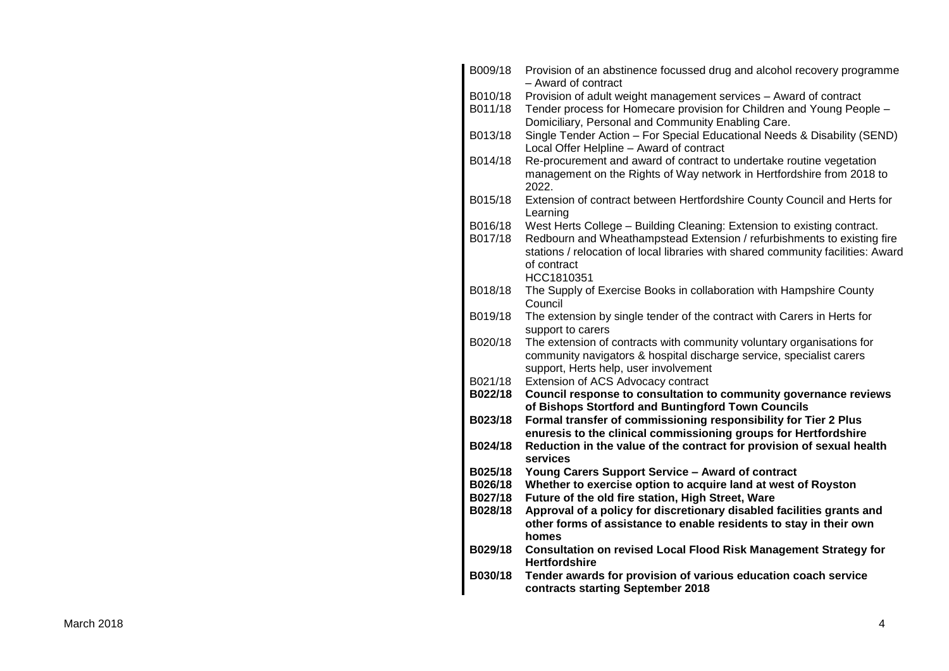| B009/18 | Provision of an abstinence focussed drug and alcohol recovery programme<br>- Award of contract                                              |
|---------|---------------------------------------------------------------------------------------------------------------------------------------------|
| B010/18 | Provision of adult weight management services - Award of contract                                                                           |
| B011/18 | Tender process for Homecare provision for Children and Young People -                                                                       |
|         | Domiciliary, Personal and Community Enabling Care.                                                                                          |
| B013/18 | Single Tender Action - For Special Educational Needs & Disability (SEND)                                                                    |
|         | Local Offer Helpline - Award of contract                                                                                                    |
| B014/18 | Re-procurement and award of contract to undertake routine vegetation                                                                        |
|         | management on the Rights of Way network in Hertfordshire from 2018 to<br>2022.                                                              |
| B015/18 | Extension of contract between Hertfordshire County Council and Herts for                                                                    |
|         | Learning                                                                                                                                    |
| B016/18 | West Herts College - Building Cleaning: Extension to existing contract.                                                                     |
| B017/18 | Redbourn and Wheathampstead Extension / refurbishments to existing fire                                                                     |
|         | stations / relocation of local libraries with shared community facilities: Award                                                            |
|         | of contract                                                                                                                                 |
|         | HCC1810351                                                                                                                                  |
| B018/18 | The Supply of Exercise Books in collaboration with Hampshire County<br>Council                                                              |
| B019/18 | The extension by single tender of the contract with Carers in Herts for                                                                     |
|         | support to carers                                                                                                                           |
| B020/18 | The extension of contracts with community voluntary organisations for                                                                       |
|         | community navigators & hospital discharge service, specialist carers                                                                        |
|         | support, Herts help, user involvement                                                                                                       |
| B021/18 | Extension of ACS Advocacy contract                                                                                                          |
| B022/18 | Council response to consultation to community governance reviews<br>of Bishops Stortford and Buntingford Town Councils                      |
| B023/18 | Formal transfer of commissioning responsibility for Tier 2 Plus                                                                             |
|         | enuresis to the clinical commissioning groups for Hertfordshire                                                                             |
| B024/18 | Reduction in the value of the contract for provision of sexual health                                                                       |
|         | services                                                                                                                                    |
| B025/18 | Young Carers Support Service - Award of contract                                                                                            |
| B026/18 | Whether to exercise option to acquire land at west of Royston                                                                               |
| B027/18 | Future of the old fire station, High Street, Ware                                                                                           |
| B028/18 | Approval of a policy for discretionary disabled facilities grants and<br>other forms of assistance to enable residents to stay in their own |
|         | homes                                                                                                                                       |
| B029/18 | <b>Consultation on revised Local Flood Risk Management Strategy for</b>                                                                     |
|         | <b>Hertfordshire</b>                                                                                                                        |
| B030/18 | Tender awards for provision of various education coach service                                                                              |
|         | contracts starting September 2018                                                                                                           |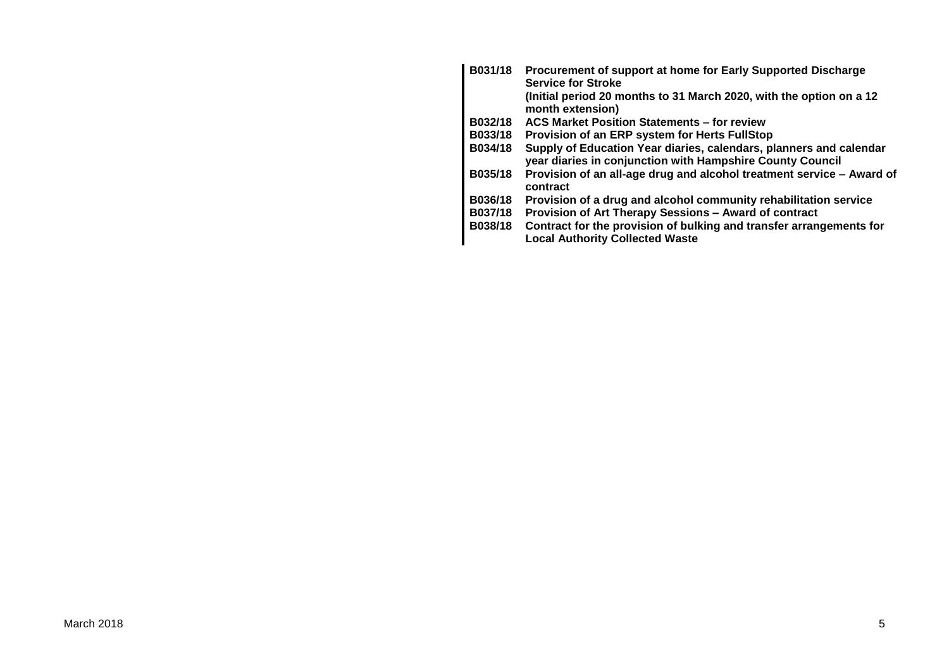| B031/18 | Procurement of support at home for Early Supported Discharge<br><b>Service for Stroke</b>                                       |
|---------|---------------------------------------------------------------------------------------------------------------------------------|
|         | (Initial period 20 months to 31 March 2020, with the option on a 12<br>month extension)                                         |
| B032/18 | <b>ACS Market Position Statements - for review</b>                                                                              |
| B033/18 | Provision of an ERP system for Herts FullStop                                                                                   |
| B034/18 | Supply of Education Year diaries, calendars, planners and calendar<br>year diaries in conjunction with Hampshire County Council |
| B035/18 | Provision of an all-age drug and alcohol treatment service - Award of<br>contract                                               |
| B036/18 | Provision of a drug and alcohol community rehabilitation service                                                                |
| B037/18 | Provision of Art Therapy Sessions - Award of contract                                                                           |
| B038/18 | Contract for the provision of bulking and transfer arrangements for<br><b>Local Authority Collected Waste</b>                   |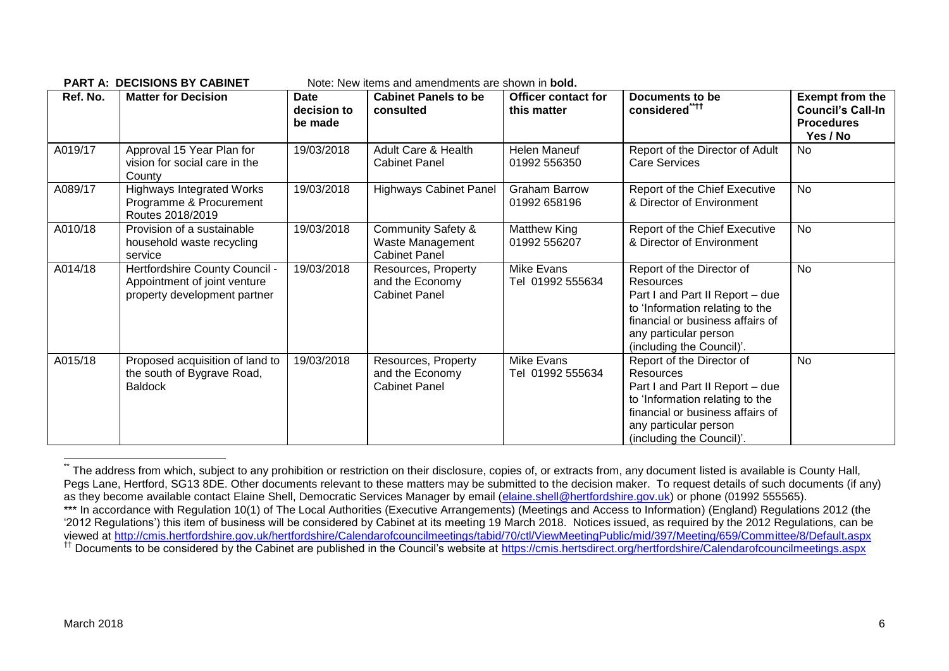| Ref. No. | <b>Matter for Decision</b>                                                                     | Date<br>decision to<br>be made | <b>Cabinet Panels to be</b><br>consulted                                  | <b>Officer contact for</b><br>this matter | <b>Documents to be</b><br>considered" <sup>++</sup>                                                                                                                                                           | <b>Exempt from the</b><br><b>Council's Call-In</b><br><b>Procedures</b><br>Yes / No |
|----------|------------------------------------------------------------------------------------------------|--------------------------------|---------------------------------------------------------------------------|-------------------------------------------|---------------------------------------------------------------------------------------------------------------------------------------------------------------------------------------------------------------|-------------------------------------------------------------------------------------|
| A019/17  | Approval 15 Year Plan for<br>vision for social care in the<br>County                           | 19/03/2018                     | Adult Care & Health<br><b>Cabinet Panel</b>                               | Helen Maneuf<br>01992 556350              | Report of the Director of Adult<br><b>Care Services</b>                                                                                                                                                       | No                                                                                  |
| A089/17  | <b>Highways Integrated Works</b><br>Programme & Procurement<br>Routes 2018/2019                | 19/03/2018                     | <b>Highways Cabinet Panel</b>                                             | <b>Graham Barrow</b><br>01992 658196      | Report of the Chief Executive<br>& Director of Environment                                                                                                                                                    | No                                                                                  |
| A010/18  | Provision of a sustainable<br>household waste recycling<br>service                             | 19/03/2018                     | <b>Community Safety &amp;</b><br>Waste Management<br><b>Cabinet Panel</b> | Matthew King<br>01992 556207              | Report of the Chief Executive<br>& Director of Environment                                                                                                                                                    | No                                                                                  |
| A014/18  | Hertfordshire County Council -<br>Appointment of joint venture<br>property development partner | 19/03/2018                     | Resources, Property<br>and the Economy<br><b>Cabinet Panel</b>            | Mike Evans<br>Tel 01992 555634            | Report of the Director of<br><b>Resources</b><br>Part I and Part II Report - due<br>to 'Information relating to the<br>financial or business affairs of<br>any particular person<br>(including the Council)'. | No                                                                                  |
| A015/18  | Proposed acquisition of land to<br>the south of Bygrave Road,<br><b>Baldock</b>                | 19/03/2018                     | Resources, Property<br>and the Economy<br><b>Cabinet Panel</b>            | Mike Evans<br>Tel 01992 555634            | Report of the Director of<br>Resources<br>Part I and Part II Report - due<br>to 'Information relating to the<br>financial or business affairs of<br>any particular person<br>(including the Council)'.        | No                                                                                  |

**PART A: DECISIONS BY CABINET** Note: New items and amendments are shown in **bold.**

1

The address from which, subject to any prohibition or restriction on their disclosure, copies of, or extracts from, any document listed is available is County Hall, Pegs Lane, Hertford, SG13 8DE. Other documents relevant to these matters may be submitted to the decision maker. To request details of such documents (if any) as they become available contact Elaine Shell, Democratic Services Manager by email [\(elaine.shell@hertfordshire.gov.uk\)](mailto:elaine.shell@hertfordshire.gov.uk) or phone (01992 555565). \*\*\* In accordance with Regulation 10(1) of The Local Authorities (Executive Arrangements) (Meetings and Access to Information) (England) Regulations 2012 (the '2012 Regulations') this item of business will be considered by Cabinet at its meeting 19 March 2018. Notices issued, as required by the 2012 Regulations, can be viewed at<http://cmis.hertfordshire.gov.uk/hertfordshire/Calendarofcouncilmeetings/tabid/70/ctl/ViewMeetingPublic/mid/397/Meeting/659/Committee/8/Default.aspx> <sup>††</sup> Documents to be considered by the Cabinet are published in the Council's website at<https://cmis.hertsdirect.org/hertfordshire/Calendarofcouncilmeetings.aspx>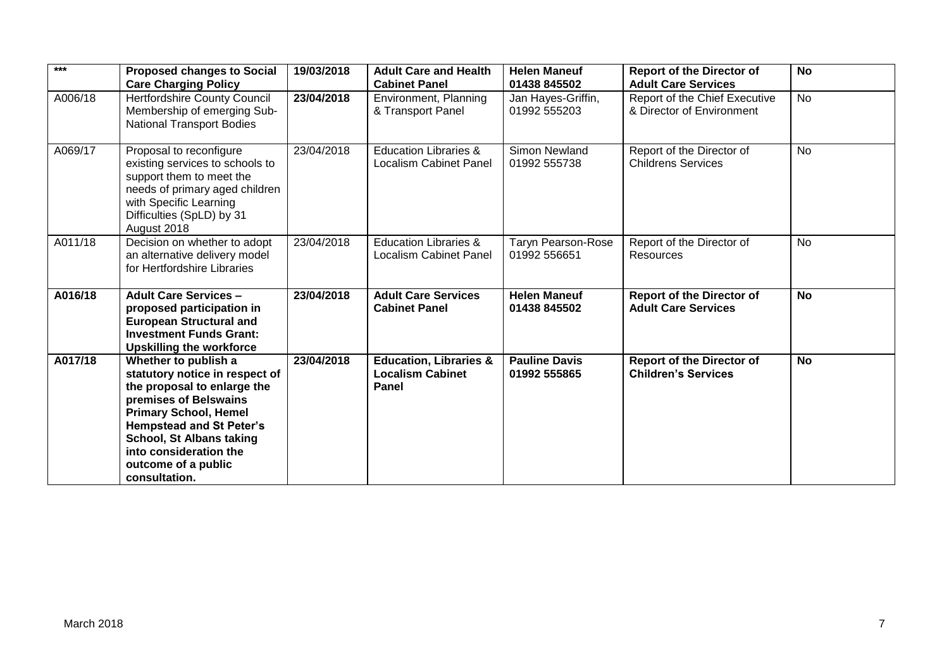| $***$   | <b>Proposed changes to Social</b><br><b>Care Charging Policy</b>                                                                                                                                                                                                                       | 19/03/2018 | <b>Adult Care and Health</b><br><b>Cabinet Panel</b>                  | <b>Helen Maneuf</b><br>01438 845502       | <b>Report of the Director of</b><br><b>Adult Care Services</b> | <b>No</b> |
|---------|----------------------------------------------------------------------------------------------------------------------------------------------------------------------------------------------------------------------------------------------------------------------------------------|------------|-----------------------------------------------------------------------|-------------------------------------------|----------------------------------------------------------------|-----------|
| A006/18 | Hertfordshire County Council<br>Membership of emerging Sub-<br><b>National Transport Bodies</b>                                                                                                                                                                                        | 23/04/2018 | Environment, Planning<br>& Transport Panel                            | Jan Hayes-Griffin,<br>01992 555203        | Report of the Chief Executive<br>& Director of Environment     | <b>No</b> |
| A069/17 | Proposal to reconfigure<br>existing services to schools to<br>support them to meet the<br>needs of primary aged children<br>with Specific Learning<br>Difficulties (SpLD) by 31<br>August 2018                                                                                         | 23/04/2018 | <b>Education Libraries &amp;</b><br><b>Localism Cabinet Panel</b>     | Simon Newland<br>01992 555738             | Report of the Director of<br><b>Childrens Services</b>         | <b>No</b> |
| A011/18 | Decision on whether to adopt<br>an alternative delivery model<br>for Hertfordshire Libraries                                                                                                                                                                                           | 23/04/2018 | <b>Education Libraries &amp;</b><br><b>Localism Cabinet Panel</b>     | <b>Taryn Pearson-Rose</b><br>01992 556651 | Report of the Director of<br>Resources                         | No        |
| A016/18 | <b>Adult Care Services -</b><br>proposed participation in<br><b>European Structural and</b><br><b>Investment Funds Grant:</b><br><b>Upskilling the workforce</b>                                                                                                                       | 23/04/2018 | <b>Adult Care Services</b><br><b>Cabinet Panel</b>                    | <b>Helen Maneuf</b><br>01438 845502       | <b>Report of the Director of</b><br><b>Adult Care Services</b> | <b>No</b> |
| A017/18 | Whether to publish a<br>statutory notice in respect of<br>the proposal to enlarge the<br>premises of Belswains<br><b>Primary School, Hemel</b><br><b>Hempstead and St Peter's</b><br><b>School, St Albans taking</b><br>into consideration the<br>outcome of a public<br>consultation. | 23/04/2018 | <b>Education, Libraries &amp;</b><br><b>Localism Cabinet</b><br>Panel | <b>Pauline Davis</b><br>01992 555865      | <b>Report of the Director of</b><br><b>Children's Services</b> | <b>No</b> |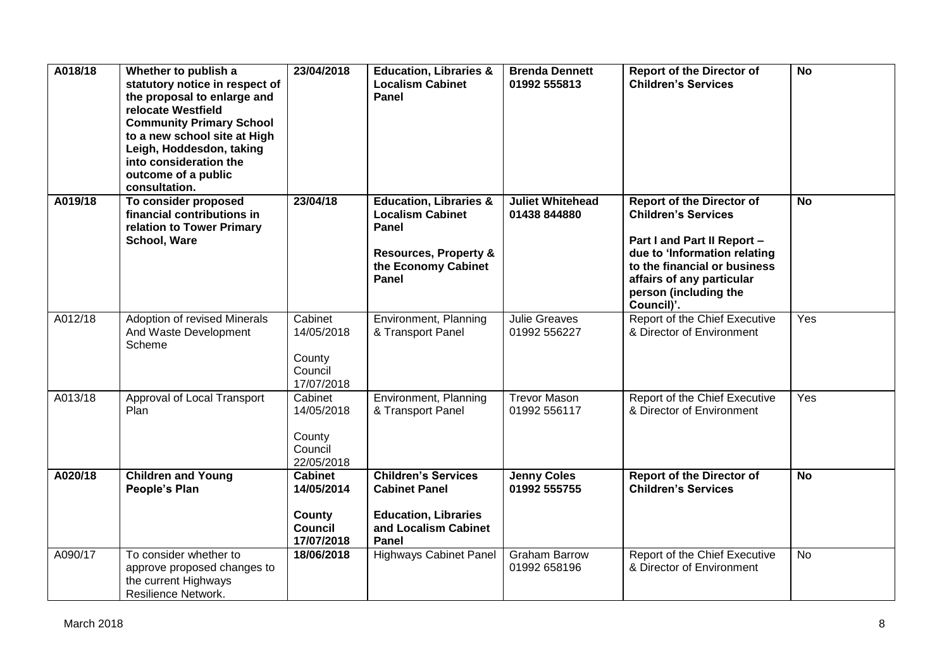| A018/18 | Whether to publish a<br>statutory notice in respect of<br>the proposal to enlarge and<br>relocate Westfield<br><b>Community Primary School</b><br>to a new school site at High<br>Leigh, Hoddesdon, taking<br>into consideration the<br>outcome of a public<br>consultation. | 23/04/2018                                                             | <b>Education, Libraries &amp;</b><br><b>Localism Cabinet</b><br>Panel                                                                     | <b>Brenda Dennett</b><br>01992 555813   | <b>Report of the Director of</b><br><b>Children's Services</b>                                                                                                                                                                    | <b>No</b> |
|---------|------------------------------------------------------------------------------------------------------------------------------------------------------------------------------------------------------------------------------------------------------------------------------|------------------------------------------------------------------------|-------------------------------------------------------------------------------------------------------------------------------------------|-----------------------------------------|-----------------------------------------------------------------------------------------------------------------------------------------------------------------------------------------------------------------------------------|-----------|
| A019/18 | To consider proposed<br>financial contributions in<br>relation to Tower Primary<br>School, Ware                                                                                                                                                                              | 23/04/18                                                               | <b>Education, Libraries &amp;</b><br><b>Localism Cabinet</b><br>Panel<br><b>Resources, Property &amp;</b><br>the Economy Cabinet<br>Panel | <b>Juliet Whitehead</b><br>01438 844880 | <b>Report of the Director of</b><br><b>Children's Services</b><br>Part I and Part II Report -<br>due to 'Information relating<br>to the financial or business<br>affairs of any particular<br>person (including the<br>Council)'. | <b>No</b> |
| A012/18 | Adoption of revised Minerals<br>And Waste Development<br>Scheme                                                                                                                                                                                                              | Cabinet<br>14/05/2018<br>County<br>Council<br>17/07/2018               | Environment, Planning<br>& Transport Panel                                                                                                | <b>Julie Greaves</b><br>01992 556227    | Report of the Chief Executive<br>& Director of Environment                                                                                                                                                                        | Yes       |
| A013/18 | Approval of Local Transport<br>Plan                                                                                                                                                                                                                                          | Cabinet<br>14/05/2018<br>County<br>Council<br>22/05/2018               | Environment, Planning<br>& Transport Panel                                                                                                | <b>Trevor Mason</b><br>01992 556117     | Report of the Chief Executive<br>& Director of Environment                                                                                                                                                                        | Yes       |
| A020/18 | <b>Children and Young</b><br>People's Plan                                                                                                                                                                                                                                   | <b>Cabinet</b><br>14/05/2014<br>County<br><b>Council</b><br>17/07/2018 | <b>Children's Services</b><br><b>Cabinet Panel</b><br><b>Education, Libraries</b><br>and Localism Cabinet<br>Panel                        | <b>Jenny Coles</b><br>01992 555755      | <b>Report of the Director of</b><br><b>Children's Services</b>                                                                                                                                                                    | <b>No</b> |
| A090/17 | To consider whether to<br>approve proposed changes to<br>the current Highways<br>Resilience Network.                                                                                                                                                                         | 18/06/2018                                                             | <b>Highways Cabinet Panel</b>                                                                                                             | <b>Graham Barrow</b><br>01992 658196    | Report of the Chief Executive<br>& Director of Environment                                                                                                                                                                        | <b>No</b> |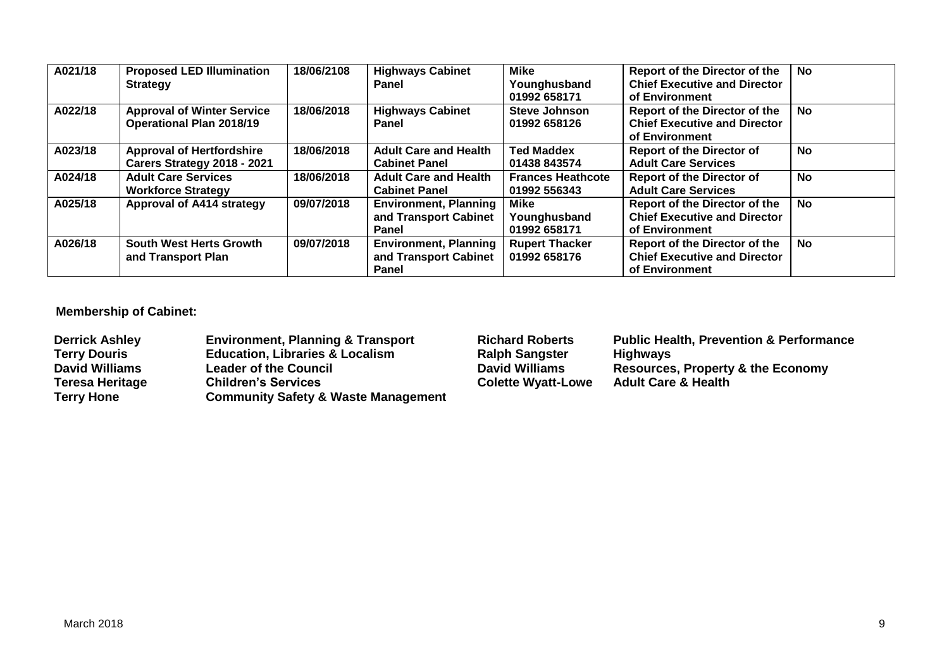| A021/18 | <b>Proposed LED Illumination</b><br><b>Strategy</b>                  | 18/06/2108 | <b>Highways Cabinet</b><br><b>Panel</b>                               | <b>Mike</b><br>Younghusband<br>01992 658171 | <b>Report of the Director of the</b><br><b>Chief Executive and Director</b><br>of Environment | No        |
|---------|----------------------------------------------------------------------|------------|-----------------------------------------------------------------------|---------------------------------------------|-----------------------------------------------------------------------------------------------|-----------|
| A022/18 | <b>Approval of Winter Service</b><br><b>Operational Plan 2018/19</b> | 18/06/2018 | <b>Highways Cabinet</b><br><b>Panel</b>                               | <b>Steve Johnson</b><br>01992 658126        | <b>Report of the Director of the</b><br><b>Chief Executive and Director</b><br>of Environment | <b>No</b> |
| A023/18 | <b>Approval of Hertfordshire</b><br>Carers Strategy 2018 - 2021      | 18/06/2018 | <b>Adult Care and Health</b><br><b>Cabinet Panel</b>                  | <b>Ted Maddex</b><br>01438 843574           | <b>Report of the Director of</b><br><b>Adult Care Services</b>                                | <b>No</b> |
| A024/18 | <b>Adult Care Services</b><br><b>Workforce Strategy</b>              | 18/06/2018 | <b>Adult Care and Health</b><br><b>Cabinet Panel</b>                  | <b>Frances Heathcote</b><br>01992 556343    | <b>Report of the Director of</b><br><b>Adult Care Services</b>                                | <b>No</b> |
| A025/18 | Approval of A414 strategy                                            | 09/07/2018 | <b>Environment, Planning</b><br>and Transport Cabinet<br><b>Panel</b> | Mike<br>Younghusband<br>01992 658171        | <b>Report of the Director of the</b><br><b>Chief Executive and Director</b><br>of Environment | No        |
| A026/18 | <b>South West Herts Growth</b><br>and Transport Plan                 | 09/07/2018 | <b>Environment, Planning</b><br>and Transport Cabinet<br>Panel        | <b>Rupert Thacker</b><br>01992 658176       | <b>Report of the Director of the</b><br><b>Chief Executive and Director</b><br>of Environment | No        |

# **Membership of Cabinet:**

| <b>Derrick Ashley</b>  | <b>Environment, Planning &amp; Transport</b>   | <b>Richard Roberts</b>    | <b>Public Health, Prevention &amp; Performance</b> |
|------------------------|------------------------------------------------|---------------------------|----------------------------------------------------|
| <b>Terry Douris</b>    | <b>Education, Libraries &amp; Localism</b>     | <b>Ralph Sangster</b>     | <b>Highways</b>                                    |
| <b>David Williams</b>  | <b>Leader of the Council</b>                   | <b>David Williams</b>     | <b>Resources, Property &amp; the Economy</b>       |
| <b>Teresa Heritage</b> | <b>Children's Services</b>                     | <b>Colette Wyatt-Lowe</b> | <b>Adult Care &amp; Health</b>                     |
| <b>Terry Hone</b>      | <b>Community Safety &amp; Waste Management</b> |                           |                                                    |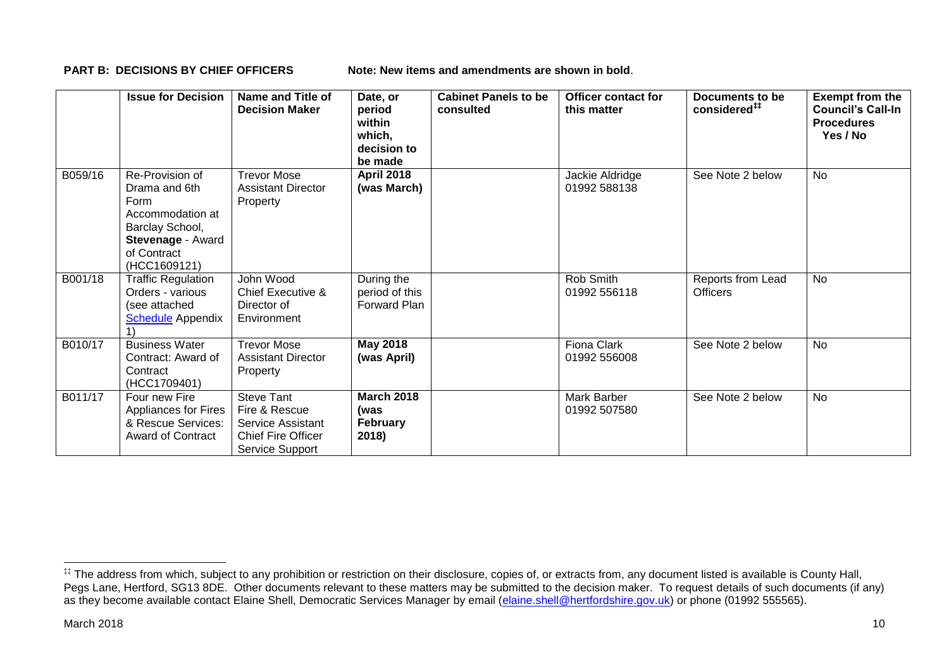**PART B: DECISIONS BY CHIEF OFFICERS Note: New items and amendments are shown in bold.** 

|         | <b>Issue for Decision</b>                                                                                                           | Name and Title of<br><b>Decision Maker</b>                                                              | Date, or<br>period<br>within<br>which,<br>decision to<br>be made | <b>Cabinet Panels to be</b><br>consulted | Officer contact for<br>this matter | Documents to be<br>considered <sup>##</sup> | <b>Exempt from the</b><br><b>Council's Call-In</b><br><b>Procedures</b><br>Yes / No |
|---------|-------------------------------------------------------------------------------------------------------------------------------------|---------------------------------------------------------------------------------------------------------|------------------------------------------------------------------|------------------------------------------|------------------------------------|---------------------------------------------|-------------------------------------------------------------------------------------|
| B059/16 | Re-Provision of<br>Drama and 6th<br>Form<br>Accommodation at<br>Barclay School,<br>Stevenage - Award<br>of Contract<br>(HCC1609121) | <b>Trevor Mose</b><br><b>Assistant Director</b><br>Property                                             | <b>April 2018</b><br>(was March)                                 |                                          | Jackie Aldridge<br>01992 588138    | See Note 2 below                            | <b>No</b>                                                                           |
| B001/18 | <b>Traffic Regulation</b><br>Orders - various<br>(see attached<br><b>Schedule</b> Appendix                                          | John Wood<br>Chief Executive &<br>Director of<br>Environment                                            | During the<br>period of this<br><b>Forward Plan</b>              |                                          | Rob Smith<br>01992 556118          | Reports from Lead<br><b>Officers</b>        | <b>No</b>                                                                           |
| B010/17 | <b>Business Water</b><br>Contract: Award of<br>Contract<br>(HCC1709401)                                                             | <b>Trevor Mose</b><br><b>Assistant Director</b><br>Property                                             | May 2018<br>(was April)                                          |                                          | Fiona Clark<br>01992 556008        | See Note 2 below                            | No                                                                                  |
| B011/17 | Four new Fire<br>Appliances for Fires<br>& Rescue Services:<br><b>Award of Contract</b>                                             | <b>Steve Tant</b><br>Fire & Rescue<br>Service Assistant<br><b>Chief Fire Officer</b><br>Service Support | <b>March 2018</b><br>(was<br><b>February</b><br>2018)            |                                          | Mark Barber<br>01992 507580        | See Note 2 below                            | <b>No</b>                                                                           |

1

<sup>‡‡</sup> The address from which, subject to any prohibition or restriction on their disclosure, copies of, or extracts from, any document listed is available is County Hall, Pegs Lane, Hertford, SG13 8DE. Other documents relevant to these matters may be submitted to the decision maker. To request details of such documents (if any) as they become available contact Elaine Shell, Democratic Services Manager by email [\(elaine.shell@hertfordshire.gov.uk\)](mailto:elaine.shell@hertfordshire.gov.uk) or phone (01992 55565).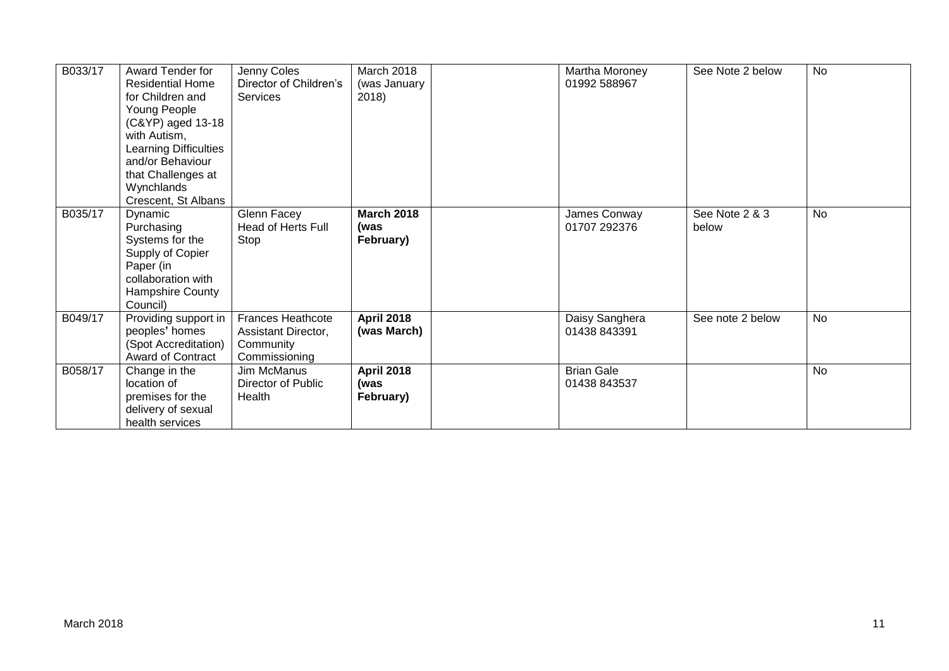| B033/17 | Award Tender for<br><b>Residential Home</b><br>for Children and<br>Young People<br>(C&YP) aged 13-18<br>with Autism,<br>Learning Difficulties<br>and/or Behaviour<br>that Challenges at<br>Wynchlands<br>Crescent, St Albans | Jenny Coles<br>Director of Children's<br><b>Services</b>               | March 2018<br>(was January<br>2018)    | Martha Moroney<br>01992 588967    | See Note 2 below        | <b>No</b> |
|---------|------------------------------------------------------------------------------------------------------------------------------------------------------------------------------------------------------------------------------|------------------------------------------------------------------------|----------------------------------------|-----------------------------------|-------------------------|-----------|
| B035/17 | Dynamic<br>Purchasing<br>Systems for the<br>Supply of Copier<br>Paper (in<br>collaboration with<br>Hampshire County<br>Council)                                                                                              | Glenn Facey<br><b>Head of Herts Full</b><br>Stop                       | <b>March 2018</b><br>(was<br>February) | James Conway<br>01707 292376      | See Note 2 & 3<br>below | <b>No</b> |
| B049/17 | Providing support in<br>peoples' homes<br>(Spot Accreditation)<br>Award of Contract                                                                                                                                          | Frances Heathcote<br>Assistant Director,<br>Community<br>Commissioning | <b>April 2018</b><br>(was March)       | Daisy Sanghera<br>01438 843391    | See note 2 below        | <b>No</b> |
| B058/17 | Change in the<br>location of<br>premises for the<br>delivery of sexual<br>health services                                                                                                                                    | Jim McManus<br>Director of Public<br>Health                            | <b>April 2018</b><br>(was<br>February) | <b>Brian Gale</b><br>01438 843537 |                         | <b>No</b> |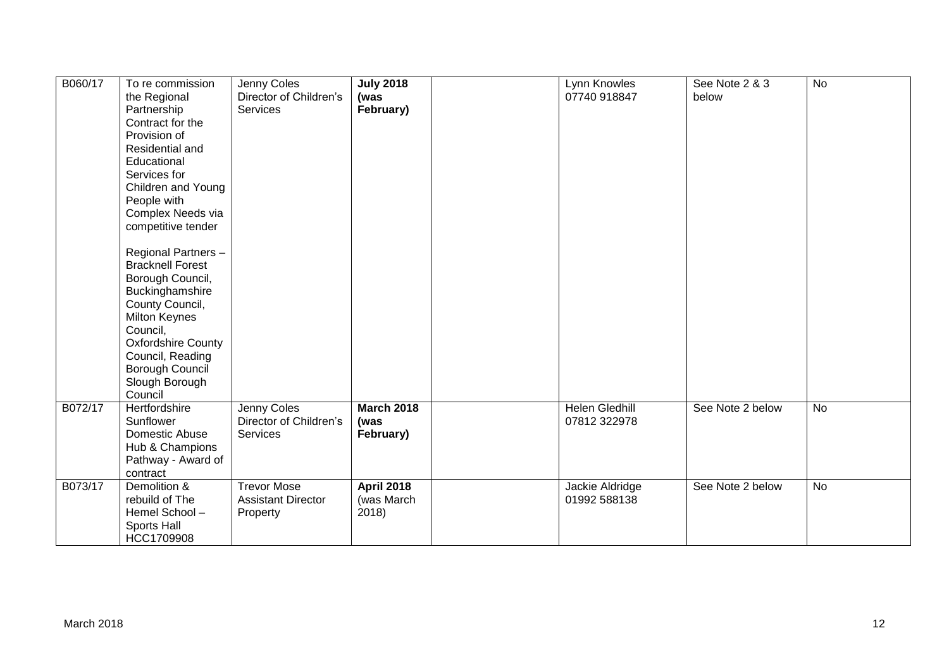| B060/17<br>B072/17 | To re commission<br>the Regional<br>Partnership<br>Contract for the<br>Provision of<br>Residential and<br>Educational<br>Services for<br>Children and Young<br>People with<br>Complex Needs via<br>competitive tender<br>Regional Partners-<br><b>Bracknell Forest</b><br>Borough Council,<br>Buckinghamshire<br>County Council,<br><b>Milton Keynes</b><br>Council,<br><b>Oxfordshire County</b><br>Council, Reading<br><b>Borough Council</b><br>Slough Borough<br>Council<br>Hertfordshire | Jenny Coles<br>Director of Children's<br>Services<br>Jenny Coles | <b>July 2018</b><br>(was<br>February)<br><b>March 2018</b> | Lynn Knowles<br>07740 918847<br><b>Helen Gledhill</b> | See Note 2 & 3<br>below<br>See Note 2 below | <b>No</b><br><b>No</b> |
|--------------------|-----------------------------------------------------------------------------------------------------------------------------------------------------------------------------------------------------------------------------------------------------------------------------------------------------------------------------------------------------------------------------------------------------------------------------------------------------------------------------------------------|------------------------------------------------------------------|------------------------------------------------------------|-------------------------------------------------------|---------------------------------------------|------------------------|
|                    | Sunflower<br>Domestic Abuse<br>Hub & Champions<br>Pathway - Award of<br>contract                                                                                                                                                                                                                                                                                                                                                                                                              | Director of Children's<br>Services                               | (was<br>February)                                          | 07812 322978                                          |                                             |                        |
| B073/17            | Demolition &<br>rebuild of The<br>Hemel School-<br>Sports Hall<br>HCC1709908                                                                                                                                                                                                                                                                                                                                                                                                                  | <b>Trevor Mose</b><br><b>Assistant Director</b><br>Property      | <b>April 2018</b><br>(was March<br>2018)                   | Jackie Aldridge<br>01992 588138                       | See Note 2 below                            | <b>No</b>              |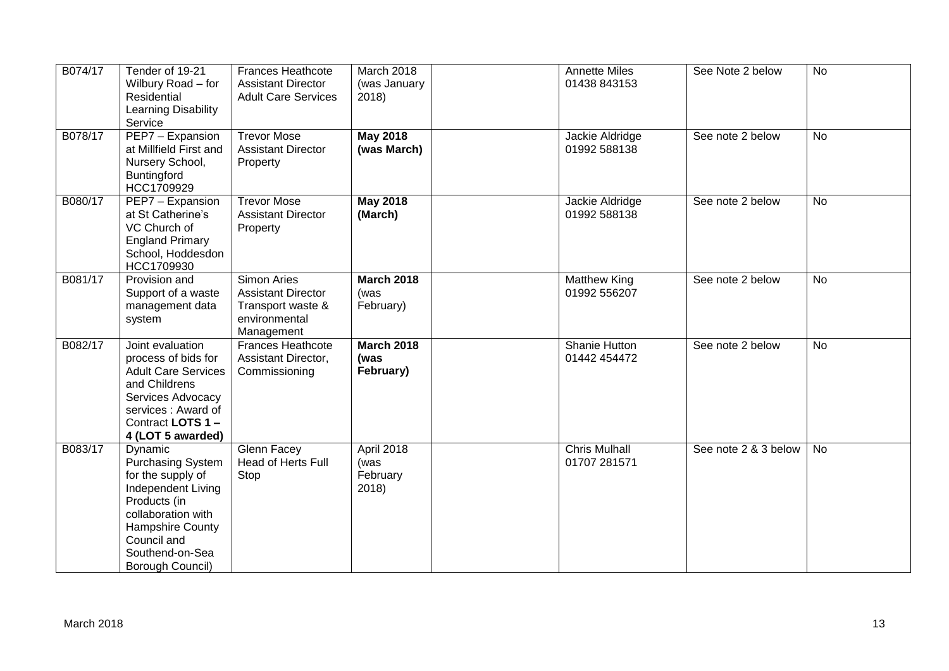| B074/17 | Tender of 19-21<br>Wilbury Road - for<br>Residential<br>Learning Disability<br>Service                                                                                                  | <b>Frances Heathcote</b><br><b>Assistant Director</b><br><b>Adult Care Services</b>          | March 2018<br>(was January<br>2018)     | Annette Miles<br>01438 843153        | See Note 2 below     | <b>No</b> |
|---------|-----------------------------------------------------------------------------------------------------------------------------------------------------------------------------------------|----------------------------------------------------------------------------------------------|-----------------------------------------|--------------------------------------|----------------------|-----------|
| B078/17 | PEP7 - Expansion<br>at Millfield First and<br>Nursery School,<br>Buntingford<br>HCC1709929                                                                                              | <b>Trevor Mose</b><br><b>Assistant Director</b><br>Property                                  | <b>May 2018</b><br>(was March)          | Jackie Aldridge<br>01992 588138      | See note 2 below     | <b>No</b> |
| B080/17 | PEP7 - Expansion<br>at St Catherine's<br>VC Church of<br><b>England Primary</b><br>School, Hoddesdon<br>HCC1709930                                                                      | <b>Trevor Mose</b><br><b>Assistant Director</b><br>Property                                  | <b>May 2018</b><br>(March)              | Jackie Aldridge<br>01992 588138      | See note 2 below     | <b>No</b> |
| B081/17 | Provision and<br>Support of a waste<br>management data<br>system                                                                                                                        | Simon Aries<br><b>Assistant Director</b><br>Transport waste &<br>environmental<br>Management | <b>March 2018</b><br>(was<br>February)  | <b>Matthew King</b><br>01992 556207  | See note 2 below     | No        |
| B082/17 | Joint evaluation<br>process of bids for<br><b>Adult Care Services</b><br>and Childrens<br>Services Advocacy<br>services: Award of<br>Contract LOTS 1-<br>4 (LOT 5 awarded)              | Frances Heathcote<br>Assistant Director,<br>Commissioning                                    | <b>March 2018</b><br>(was<br>February)  | Shanie Hutton<br>01442 454472        | See note 2 below     | <b>No</b> |
| B083/17 | Dynamic<br>Purchasing System<br>for the supply of<br>Independent Living<br>Products (in<br>collaboration with<br>Hampshire County<br>Council and<br>Southend-on-Sea<br>Borough Council) | Glenn Facey<br><b>Head of Herts Full</b><br>Stop                                             | April 2018<br>(was<br>February<br>2018) | <b>Chris Mulhall</b><br>01707 281571 | See note 2 & 3 below | <b>No</b> |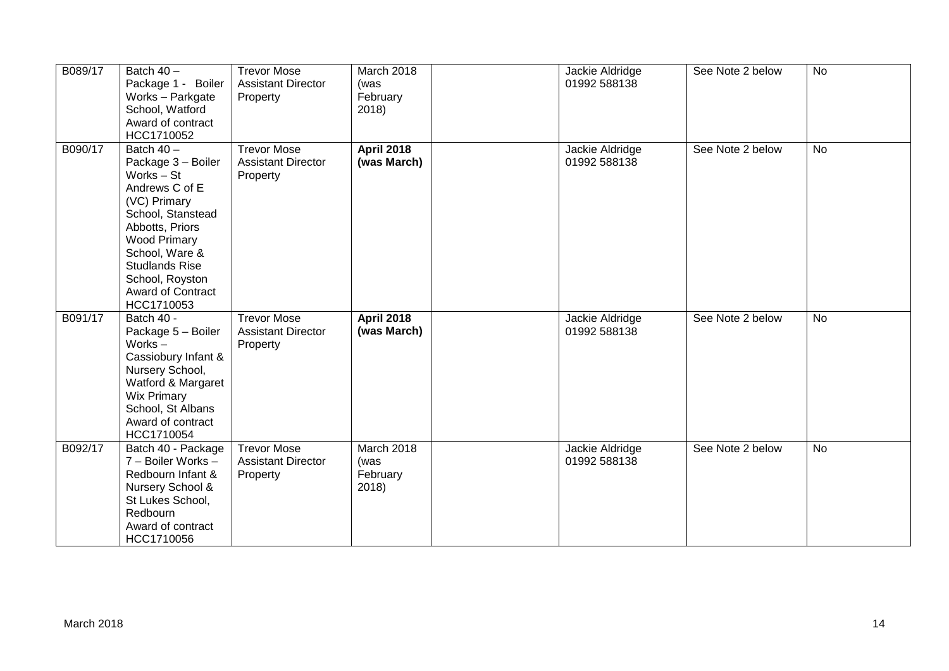| B089/17 | Batch $40 -$<br>Package 1 - Boiler<br>Works - Parkgate<br>School, Watford<br>Award of contract<br>HCC1710052                                                                                                                                     | <b>Trevor Mose</b><br><b>Assistant Director</b><br>Property | March 2018<br>(was<br>February<br>2018) | Jackie Aldridge<br>01992 588138 | See Note 2 below | <b>No</b> |
|---------|--------------------------------------------------------------------------------------------------------------------------------------------------------------------------------------------------------------------------------------------------|-------------------------------------------------------------|-----------------------------------------|---------------------------------|------------------|-----------|
| B090/17 | Batch 40 -<br>Package 3 - Boiler<br>Works - St<br>Andrews C of E<br>(VC) Primary<br>School, Stanstead<br>Abbotts, Priors<br><b>Wood Primary</b><br>School, Ware &<br><b>Studlands Rise</b><br>School, Royston<br>Award of Contract<br>HCC1710053 | <b>Trevor Mose</b><br><b>Assistant Director</b><br>Property | <b>April 2018</b><br>(was March)        | Jackie Aldridge<br>01992 588138 | See Note 2 below | <b>No</b> |
| B091/17 | Batch 40 -<br>Package 5 - Boiler<br>Works $-$<br>Cassiobury Infant &<br>Nursery School,<br>Watford & Margaret<br><b>Wix Primary</b><br>School, St Albans<br>Award of contract<br>HCC1710054                                                      | <b>Trevor Mose</b><br><b>Assistant Director</b><br>Property | <b>April 2018</b><br>(was March)        | Jackie Aldridge<br>01992 588138 | See Note 2 below | <b>No</b> |
| B092/17 | Batch 40 - Package<br>7 - Boiler Works -<br>Redbourn Infant &<br>Nursery School &<br>St Lukes School,<br>Redbourn<br>Award of contract<br>HCC1710056                                                                                             | <b>Trevor Mose</b><br><b>Assistant Director</b><br>Property | March 2018<br>(was<br>February<br>2018) | Jackie Aldridge<br>01992 588138 | See Note 2 below | <b>No</b> |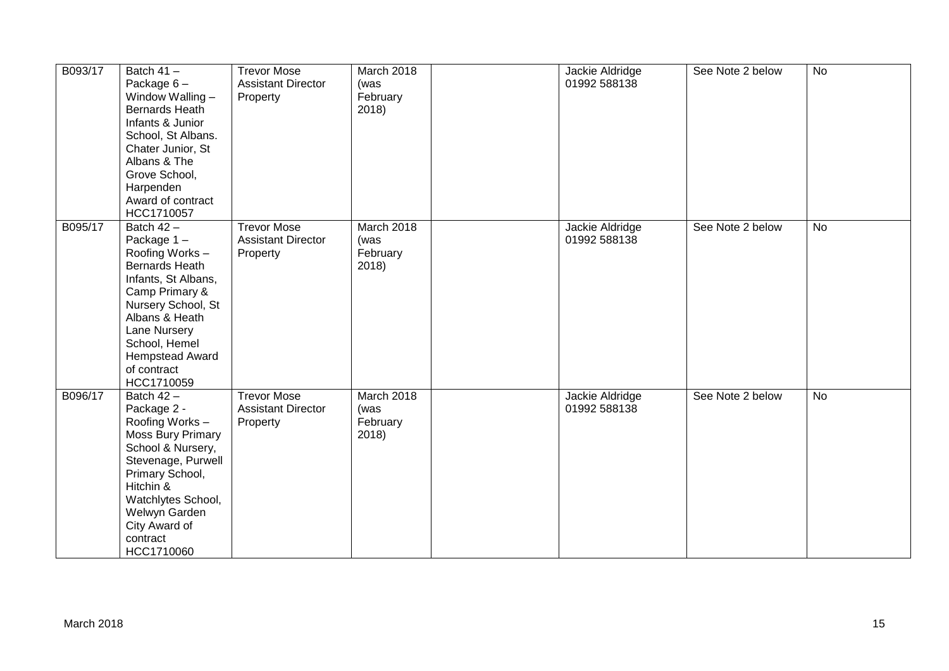| B093/17 | Batch $41 -$<br>Package $6-$<br>Window Walling -<br>Bernards Heath<br>Infants & Junior<br>School, St Albans.<br>Chater Junior, St<br>Albans & The<br>Grove School,<br>Harpenden<br>Award of contract<br>HCC1710057                             | <b>Trevor Mose</b><br><b>Assistant Director</b><br>Property | March 2018<br>(was<br>February<br>2018) | Jackie Aldridge<br>01992 588138 | See Note 2 below | No        |
|---------|------------------------------------------------------------------------------------------------------------------------------------------------------------------------------------------------------------------------------------------------|-------------------------------------------------------------|-----------------------------------------|---------------------------------|------------------|-----------|
| B095/17 | Batch $42 -$<br>Package 1-<br>Roofing Works-<br><b>Bernards Heath</b><br>Infants, St Albans,<br>Camp Primary &<br>Nursery School, St<br>Albans & Heath<br>Lane Nursery<br>School, Hemel<br><b>Hempstead Award</b><br>of contract<br>HCC1710059 | <b>Trevor Mose</b><br><b>Assistant Director</b><br>Property | March 2018<br>(was<br>February<br>2018) | Jackie Aldridge<br>01992 588138 | See Note 2 below | <b>No</b> |
| B096/17 | Batch 42 -<br>Package 2 -<br>Roofing Works -<br>Moss Bury Primary<br>School & Nursery,<br>Stevenage, Purwell<br>Primary School,<br>Hitchin &<br>Watchlytes School,<br>Welwyn Garden<br>City Award of<br>contract<br>HCC1710060                 | <b>Trevor Mose</b><br><b>Assistant Director</b><br>Property | March 2018<br>(was<br>February<br>2018) | Jackie Aldridge<br>01992 588138 | See Note 2 below | <b>No</b> |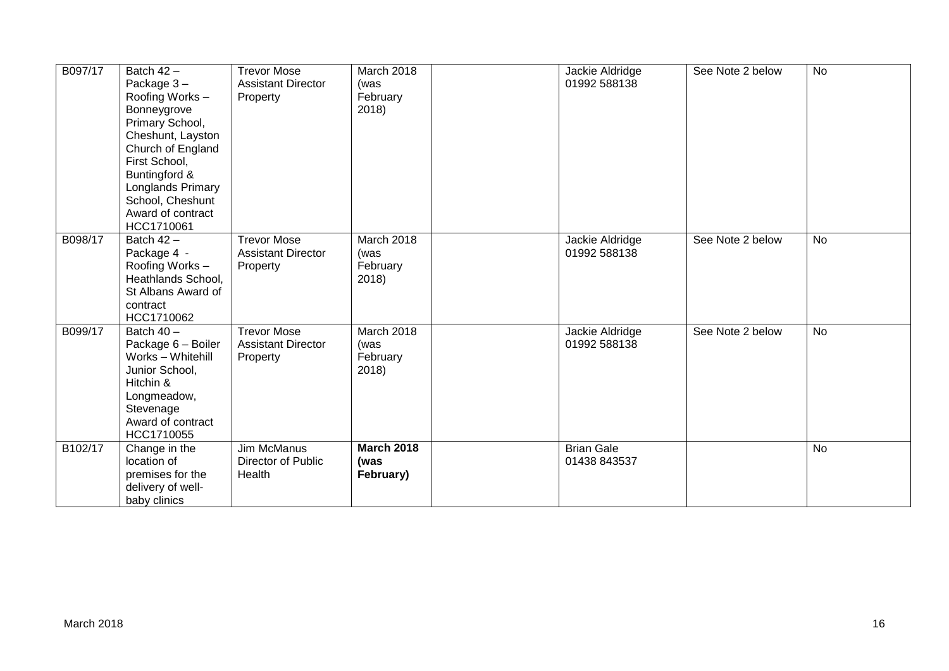| B097/17 | Batch $42 -$<br>Package 3-<br>Roofing Works -<br>Bonneygrove<br>Primary School,<br>Cheshunt, Layston<br>Church of England<br>First School,<br>Buntingford &<br>Longlands Primary<br>School, Cheshunt<br>Award of contract<br>HCC1710061 | <b>Trevor Mose</b><br><b>Assistant Director</b><br>Property | March 2018<br>(was<br>February<br>2018) | Jackie Aldridge<br>01992 588138   | See Note 2 below | <b>No</b> |
|---------|-----------------------------------------------------------------------------------------------------------------------------------------------------------------------------------------------------------------------------------------|-------------------------------------------------------------|-----------------------------------------|-----------------------------------|------------------|-----------|
| B098/17 | Batch $42 -$<br>Package 4 -<br>Roofing Works-<br>Heathlands School,<br>St Albans Award of<br>contract<br>HCC1710062                                                                                                                     | <b>Trevor Mose</b><br><b>Assistant Director</b><br>Property | March 2018<br>(was<br>February<br>2018) | Jackie Aldridge<br>01992 588138   | See Note 2 below | <b>No</b> |
| B099/17 | Batch 40 -<br>Package 6 - Boiler<br>Works - Whitehill<br>Junior School,<br>Hitchin &<br>Longmeadow,<br>Stevenage<br>Award of contract<br>HCC1710055                                                                                     | <b>Trevor Mose</b><br><b>Assistant Director</b><br>Property | March 2018<br>(was<br>February<br>2018) | Jackie Aldridge<br>01992 588138   | See Note 2 below | <b>No</b> |
| B102/17 | Change in the<br>location of<br>premises for the<br>delivery of well-<br>baby clinics                                                                                                                                                   | Jim McManus<br>Director of Public<br>Health                 | <b>March 2018</b><br>(was<br>February)  | <b>Brian Gale</b><br>01438 843537 |                  | <b>No</b> |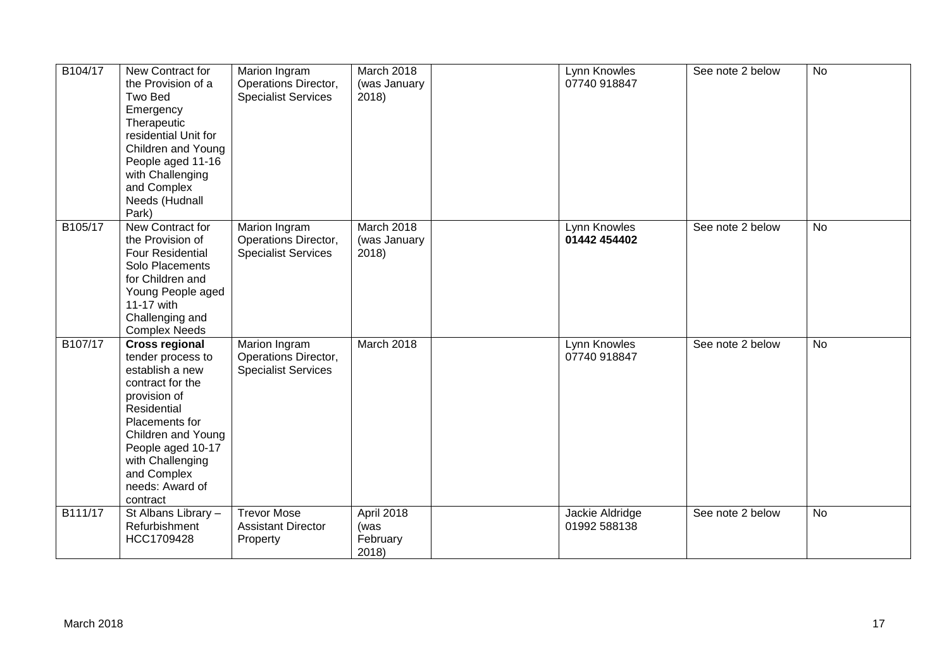| B104/17 | New Contract for<br>the Provision of a<br>Two Bed<br>Emergency<br>Therapeutic<br>residential Unit for<br>Children and Young<br>People aged 11-16<br>with Challenging<br>and Complex<br>Needs (Hudnall<br>Park)                                  | Marion Ingram<br>Operations Director,<br><b>Specialist Services</b> | March 2018<br>(was January<br>2018)     | Lynn Knowles<br>07740 918847    | See note 2 below | <b>No</b> |
|---------|-------------------------------------------------------------------------------------------------------------------------------------------------------------------------------------------------------------------------------------------------|---------------------------------------------------------------------|-----------------------------------------|---------------------------------|------------------|-----------|
| B105/17 | New Contract for<br>the Provision of<br><b>Four Residential</b><br>Solo Placements<br>for Children and<br>Young People aged<br>11-17 with<br>Challenging and<br><b>Complex Needs</b>                                                            | Marion Ingram<br>Operations Director,<br><b>Specialist Services</b> | March 2018<br>(was January<br>2018)     | Lynn Knowles<br>01442 454402    | See note 2 below | <b>No</b> |
| B107/17 | <b>Cross regional</b><br>tender process to<br>establish a new<br>contract for the<br>provision of<br>Residential<br>Placements for<br>Children and Young<br>People aged 10-17<br>with Challenging<br>and Complex<br>needs: Award of<br>contract | Marion Ingram<br>Operations Director,<br><b>Specialist Services</b> | March 2018                              | Lynn Knowles<br>07740 918847    | See note 2 below | <b>No</b> |
| B111/17 | St Albans Library -<br>Refurbishment<br>HCC1709428                                                                                                                                                                                              | <b>Trevor Mose</b><br><b>Assistant Director</b><br>Property         | April 2018<br>(was<br>February<br>2018) | Jackie Aldridge<br>01992 588138 | See note 2 below | <b>No</b> |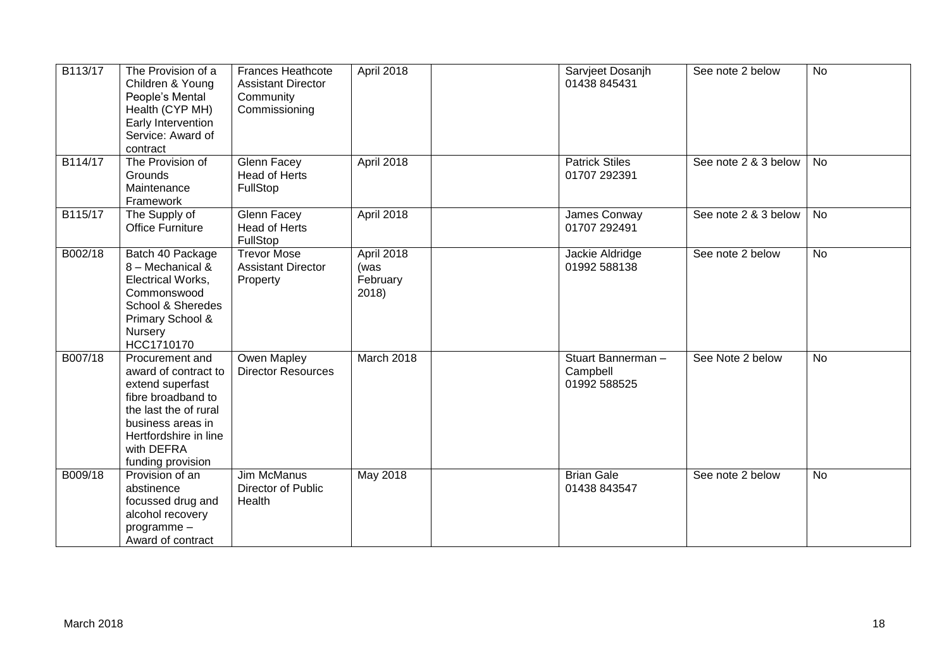| B113/17 | The Provision of a<br>Children & Young<br>People's Mental<br>Health (CYP MH)<br>Early Intervention<br>Service: Award of<br>contract                                                         | <b>Frances Heathcote</b><br><b>Assistant Director</b><br>Community<br>Commissioning | April 2018                              | Sarvjeet Dosanjh<br>01438 845431              | See note 2 below     | <b>No</b> |
|---------|---------------------------------------------------------------------------------------------------------------------------------------------------------------------------------------------|-------------------------------------------------------------------------------------|-----------------------------------------|-----------------------------------------------|----------------------|-----------|
| B114/17 | The Provision of<br><b>Grounds</b><br>Maintenance<br>Framework                                                                                                                              | Glenn Facey<br>Head of Herts<br>FullStop                                            | April 2018                              | <b>Patrick Stiles</b><br>01707 292391         | See note 2 & 3 below | No        |
| B115/17 | The Supply of<br><b>Office Furniture</b>                                                                                                                                                    | Glenn Facey<br><b>Head of Herts</b><br>FullStop                                     | April 2018                              | James Conway<br>01707 292491                  | See note 2 & 3 below | <b>No</b> |
| B002/18 | Batch 40 Package<br>8 - Mechanical &<br>Electrical Works,<br>Commonswood<br>School & Sheredes<br>Primary School &<br>Nursery<br>HCC1710170                                                  | <b>Trevor Mose</b><br><b>Assistant Director</b><br>Property                         | April 2018<br>(was<br>February<br>2018) | Jackie Aldridge<br>01992 588138               | See note 2 below     | <b>No</b> |
| B007/18 | Procurement and<br>award of contract to<br>extend superfast<br>fibre broadband to<br>the last the of rural<br>business areas in<br>Hertfordshire in line<br>with DEFRA<br>funding provision | Owen Mapley<br><b>Director Resources</b>                                            | March 2018                              | Stuart Bannerman-<br>Campbell<br>01992 588525 | See Note 2 below     | <b>No</b> |
| B009/18 | Provision of an<br>abstinence<br>focussed drug and<br>alcohol recovery<br>programme-<br>Award of contract                                                                                   | <b>Jim McManus</b><br>Director of Public<br>Health                                  | <b>May 2018</b>                         | <b>Brian Gale</b><br>01438 843547             | See note 2 below     | <b>No</b> |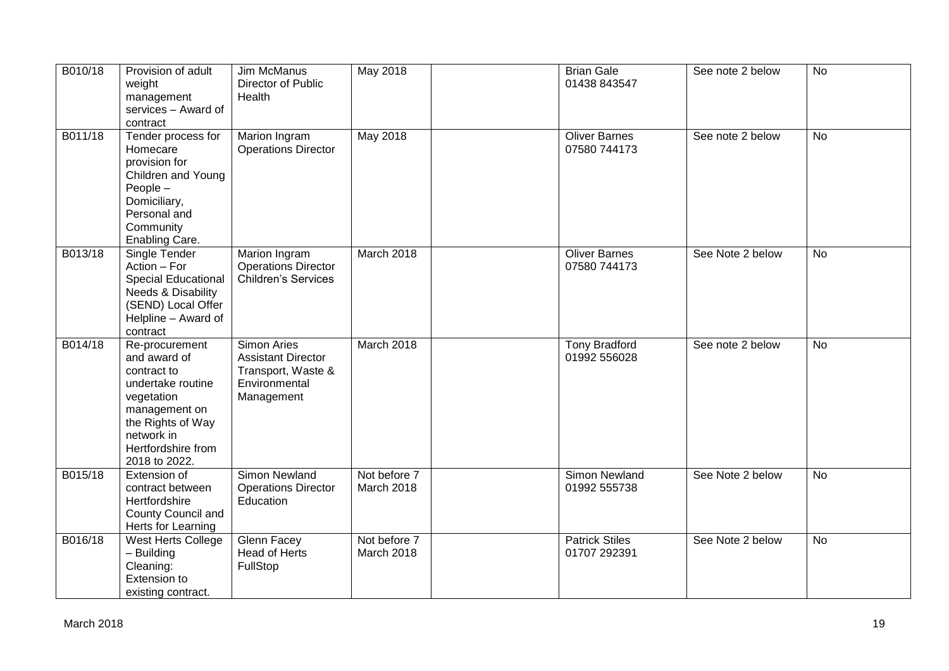| B010/18 | Provision of adult<br>weight<br>management<br>services - Award of<br>contract                                                                                               | Jim McManus<br>Director of Public<br>Health                                                   | May 2018                   | <b>Brian Gale</b><br>01438 843547     | See note 2 below | No             |
|---------|-----------------------------------------------------------------------------------------------------------------------------------------------------------------------------|-----------------------------------------------------------------------------------------------|----------------------------|---------------------------------------|------------------|----------------|
| B011/18 | Tender process for<br>Homecare<br>provision for<br>Children and Young<br>$People -$<br>Domiciliary,<br>Personal and<br>Community<br>Enabling Care.                          | Marion Ingram<br><b>Operations Director</b>                                                   | <b>May 2018</b>            | <b>Oliver Barnes</b><br>07580 744173  | See note 2 below | No             |
| B013/18 | Single Tender<br>Action - For<br><b>Special Educational</b><br>Needs & Disability<br>(SEND) Local Offer<br>Helpline - Award of<br>contract                                  | Marion Ingram<br><b>Operations Director</b><br>Children's Services                            | March 2018                 | <b>Oliver Barnes</b><br>07580 744173  | See Note 2 below | <b>No</b>      |
| B014/18 | Re-procurement<br>and award of<br>contract to<br>undertake routine<br>vegetation<br>management on<br>the Rights of Way<br>network in<br>Hertfordshire from<br>2018 to 2022. | Simon Aries<br><b>Assistant Director</b><br>Transport, Waste &<br>Environmental<br>Management | March 2018                 | <b>Tony Bradford</b><br>01992 556028  | See note 2 below | No             |
| B015/18 | Extension of<br>contract between<br>Hertfordshire<br>County Council and<br>Herts for Learning                                                                               | Simon Newland<br><b>Operations Director</b><br>Education                                      | Not before 7<br>March 2018 | Simon Newland<br>01992 555738         | See Note 2 below | <b>No</b>      |
| B016/18 | West Herts College<br>- Building<br>Cleaning:<br>Extension to<br>existing contract.                                                                                         | Glenn Facey<br><b>Head of Herts</b><br>FullStop                                               | Not before 7<br>March 2018 | <b>Patrick Stiles</b><br>01707 292391 | See Note 2 below | $\overline{N}$ |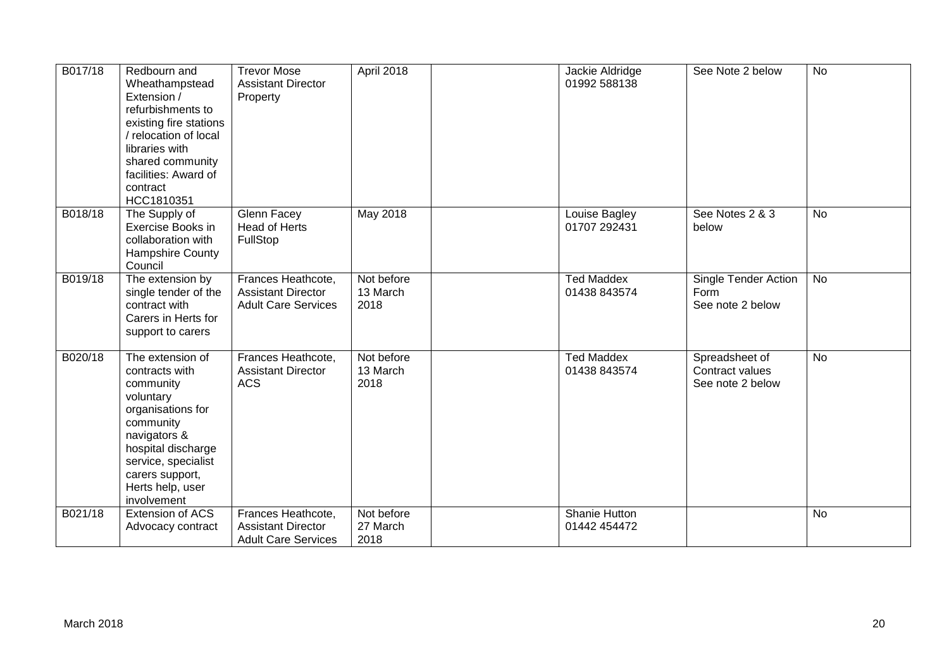| B017/18 | Redbourn and<br>Wheathampstead<br>Extension /<br>refurbishments to<br>existing fire stations<br>relocation of local<br>libraries with<br>shared community<br>facilities: Award of<br>contract<br>HCC1810351       | <b>Trevor Mose</b><br><b>Assistant Director</b><br>Property                   | April 2018                     | Jackie Aldridge<br>01992 588138   | See Note 2 below                                      | <b>No</b> |
|---------|-------------------------------------------------------------------------------------------------------------------------------------------------------------------------------------------------------------------|-------------------------------------------------------------------------------|--------------------------------|-----------------------------------|-------------------------------------------------------|-----------|
| B018/18 | The Supply of<br>Exercise Books in<br>collaboration with<br>Hampshire County<br>Council                                                                                                                           | Glenn Facey<br>Head of Herts<br>FullStop                                      | <b>May 2018</b>                | Louise Bagley<br>01707 292431     | See Notes 2 & 3<br>below                              | <b>No</b> |
| B019/18 | The extension by<br>single tender of the<br>contract with<br>Carers in Herts for<br>support to carers                                                                                                             | Frances Heathcote,<br><b>Assistant Director</b><br><b>Adult Care Services</b> | Not before<br>13 March<br>2018 | <b>Ted Maddex</b><br>01438 843574 | Single Tender Action<br>Form<br>See note 2 below      | <b>No</b> |
| B020/18 | The extension of<br>contracts with<br>community<br>voluntary<br>organisations for<br>community<br>navigators &<br>hospital discharge<br>service, specialist<br>carers support,<br>Herts help, user<br>involvement | Frances Heathcote,<br><b>Assistant Director</b><br><b>ACS</b>                 | Not before<br>13 March<br>2018 | <b>Ted Maddex</b><br>01438 843574 | Spreadsheet of<br>Contract values<br>See note 2 below | <b>No</b> |
| B021/18 | Extension of ACS<br>Advocacy contract                                                                                                                                                                             | Frances Heathcote,<br><b>Assistant Director</b><br><b>Adult Care Services</b> | Not before<br>27 March<br>2018 | Shanie Hutton<br>01442 454472     |                                                       | <b>No</b> |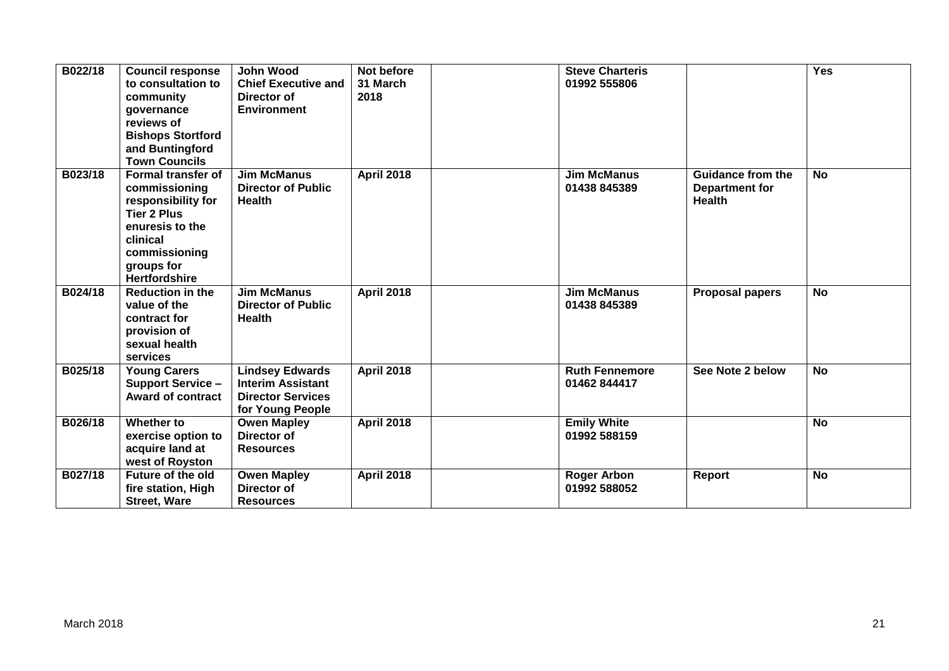| B022/18 | <b>Council response</b><br>to consultation to<br>community<br>governance<br>reviews of<br><b>Bishops Stortford</b><br>and Buntingford<br><b>Town Councils</b>                | <b>John Wood</b><br><b>Chief Executive and</b><br>Director of<br><b>Environment</b>                | Not before<br>31 March<br>2018 | <b>Steve Charteris</b><br>01992 555806 |                                                                    | Yes            |
|---------|------------------------------------------------------------------------------------------------------------------------------------------------------------------------------|----------------------------------------------------------------------------------------------------|--------------------------------|----------------------------------------|--------------------------------------------------------------------|----------------|
| B023/18 | <b>Formal transfer of</b><br>commissioning<br>responsibility for<br><b>Tier 2 Plus</b><br>enuresis to the<br>clinical<br>commissioning<br>groups for<br><b>Hertfordshire</b> | <b>Jim McManus</b><br><b>Director of Public</b><br><b>Health</b>                                   | <b>April 2018</b>              | <b>Jim McManus</b><br>01438 845389     | <b>Guidance from the</b><br><b>Department for</b><br><b>Health</b> | <b>No</b>      |
| B024/18 | <b>Reduction in the</b><br>value of the<br>contract for<br>provision of<br>sexual health<br>services                                                                         | <b>Jim McManus</b><br><b>Director of Public</b><br><b>Health</b>                                   | <b>April 2018</b>              | <b>Jim McManus</b><br>01438 845389     | <b>Proposal papers</b>                                             | <b>No</b>      |
| B025/18 | <b>Young Carers</b><br><b>Support Service -</b><br><b>Award of contract</b>                                                                                                  | <b>Lindsey Edwards</b><br><b>Interim Assistant</b><br><b>Director Services</b><br>for Young People | <b>April 2018</b>              | <b>Ruth Fennemore</b><br>01462 844417  | See Note 2 below                                                   | $\overline{N}$ |
| B026/18 | Whether to<br>exercise option to<br>acquire land at<br>west of Royston                                                                                                       | <b>Owen Mapley</b><br><b>Director of</b><br><b>Resources</b>                                       | <b>April 2018</b>              | <b>Emily White</b><br>01992 588159     |                                                                    | <b>No</b>      |
| B027/18 | <b>Future of the old</b><br>fire station, High<br><b>Street, Ware</b>                                                                                                        | <b>Owen Mapley</b><br>Director of<br><b>Resources</b>                                              | <b>April 2018</b>              | <b>Roger Arbon</b><br>01992 588052     | Report                                                             | <b>No</b>      |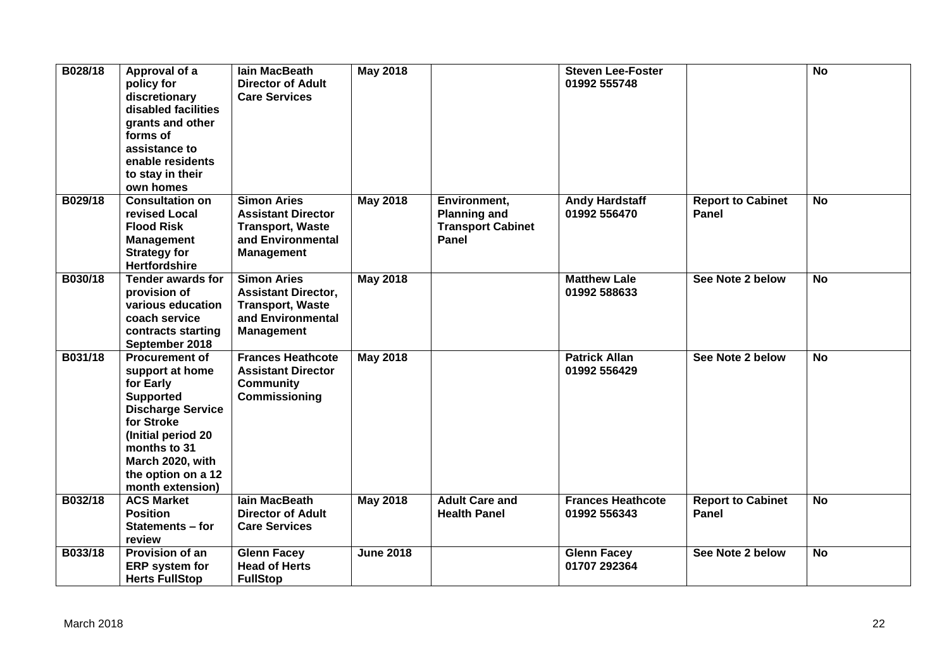| B028/18 | Approval of a<br>policy for<br>discretionary<br>disabled facilities<br>grants and other<br>forms of<br>assistance to<br>enable residents<br>to stay in their<br>own homes                                               | lain MacBeath<br><b>Director of Adult</b><br><b>Care Services</b>                                                     | <b>May 2018</b>  |                                                                          | <b>Steven Lee-Foster</b><br>01992 555748 |                                          | <b>No</b>      |
|---------|-------------------------------------------------------------------------------------------------------------------------------------------------------------------------------------------------------------------------|-----------------------------------------------------------------------------------------------------------------------|------------------|--------------------------------------------------------------------------|------------------------------------------|------------------------------------------|----------------|
| B029/18 | <b>Consultation on</b><br>revised Local<br><b>Flood Risk</b><br><b>Management</b><br><b>Strategy for</b><br><b>Hertfordshire</b>                                                                                        | <b>Simon Aries</b><br><b>Assistant Director</b><br><b>Transport, Waste</b><br>and Environmental<br><b>Management</b>  | <b>May 2018</b>  | Environment,<br><b>Planning and</b><br><b>Transport Cabinet</b><br>Panel | <b>Andy Hardstaff</b><br>01992 556470    | <b>Report to Cabinet</b><br>Panel        | <b>No</b>      |
| B030/18 | <b>Tender awards for</b><br>provision of<br>various education<br>coach service<br>contracts starting<br>September 2018                                                                                                  | <b>Simon Aries</b><br><b>Assistant Director,</b><br><b>Transport, Waste</b><br>and Environmental<br><b>Management</b> | <b>May 2018</b>  |                                                                          | <b>Matthew Lale</b><br>01992 588633      | See Note 2 below                         | <b>No</b>      |
| B031/18 | <b>Procurement of</b><br>support at home<br>for Early<br><b>Supported</b><br><b>Discharge Service</b><br>for Stroke<br>(Initial period 20<br>months to 31<br>March 2020, with<br>the option on a 12<br>month extension) | <b>Frances Heathcote</b><br><b>Assistant Director</b><br><b>Community</b><br>Commissioning                            | May 2018         |                                                                          | <b>Patrick Allan</b><br>01992 556429     | See Note 2 below                         | <b>No</b>      |
| B032/18 | <b>ACS Market</b><br><b>Position</b><br>Statements - for<br>review                                                                                                                                                      | lain MacBeath<br><b>Director of Adult</b><br><b>Care Services</b>                                                     | <b>May 2018</b>  | <b>Adult Care and</b><br><b>Health Panel</b>                             | <b>Frances Heathcote</b><br>01992 556343 | <b>Report to Cabinet</b><br><b>Panel</b> | $\overline{N}$ |
| B033/18 | Provision of an<br><b>ERP</b> system for<br><b>Herts FullStop</b>                                                                                                                                                       | <b>Glenn Facey</b><br><b>Head of Herts</b><br><b>FullStop</b>                                                         | <b>June 2018</b> |                                                                          | <b>Glenn Facey</b><br>01707 292364       | See Note 2 below                         | <b>No</b>      |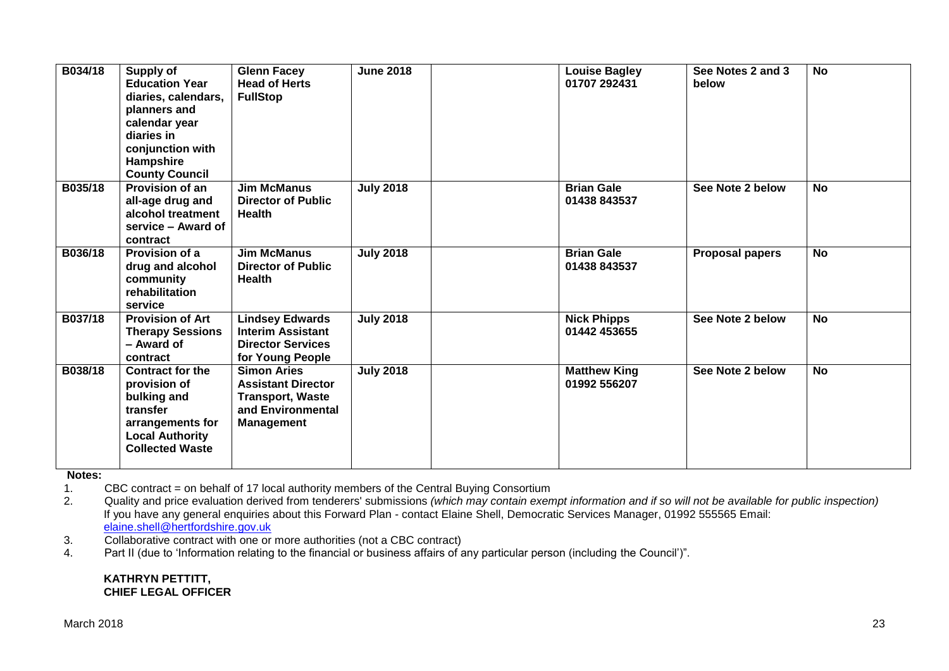| B034/18 | <b>Supply of</b><br><b>Education Year</b><br>diaries, calendars,<br>planners and<br>calendar year<br>diaries in<br>conjunction with<br>Hampshire<br><b>County Council</b> | <b>Glenn Facey</b><br><b>Head of Herts</b><br><b>FullStop</b>                                                        | <b>June 2018</b> | <b>Louise Bagley</b><br>01707 292431 | See Notes 2 and 3<br>below | <b>No</b> |
|---------|---------------------------------------------------------------------------------------------------------------------------------------------------------------------------|----------------------------------------------------------------------------------------------------------------------|------------------|--------------------------------------|----------------------------|-----------|
| B035/18 | <b>Provision of an</b><br>all-age drug and<br>alcohol treatment<br>service – Award of<br>contract                                                                         | <b>Jim McManus</b><br><b>Director of Public</b><br><b>Health</b>                                                     | <b>July 2018</b> | <b>Brian Gale</b><br>01438 843537    | See Note 2 below           | <b>No</b> |
| B036/18 | Provision of a<br>drug and alcohol<br>community<br>rehabilitation<br>service                                                                                              | <b>Jim McManus</b><br><b>Director of Public</b><br><b>Health</b>                                                     | <b>July 2018</b> | <b>Brian Gale</b><br>01438 843537    | <b>Proposal papers</b>     | <b>No</b> |
| B037/18 | <b>Provision of Art</b><br><b>Therapy Sessions</b><br>- Award of<br>contract                                                                                              | <b>Lindsey Edwards</b><br><b>Interim Assistant</b><br><b>Director Services</b><br>for Young People                   | <b>July 2018</b> | <b>Nick Phipps</b><br>01442 453655   | See Note 2 below           | <b>No</b> |
| B038/18 | <b>Contract for the</b><br>provision of<br>bulking and<br>transfer<br>arrangements for<br><b>Local Authority</b><br><b>Collected Waste</b>                                | <b>Simon Aries</b><br><b>Assistant Director</b><br><b>Transport, Waste</b><br>and Environmental<br><b>Management</b> | <b>July 2018</b> | <b>Matthew King</b><br>01992 556207  | See Note 2 below           | <b>No</b> |

**Notes:** 

1. CBC contract = on behalf of 17 local authority members of the Central Buying Consortium<br>2. Quality and price evaluation derived from tenderers' submissions (which may contain exen

2. Quality and price evaluation derived from tenderers' submissions *(which may contain exempt information and if so will not be available for public inspection)* If you have any general enquiries about this Forward Plan - contact Elaine Shell, Democratic Services Manager, 01992 555565 Email: [elaine.shell@hertfordshire.gov.uk](mailto:elaine.shell@hertfordshire.gov.uk) 

3. Collaborative contract with one or more authorities (not a CBC contract)

4. Part II (due to 'Information relating to the financial or business affairs of any particular person (including the Council')".

#### **KATHRYN PETTITT, CHIEF LEGAL OFFICER**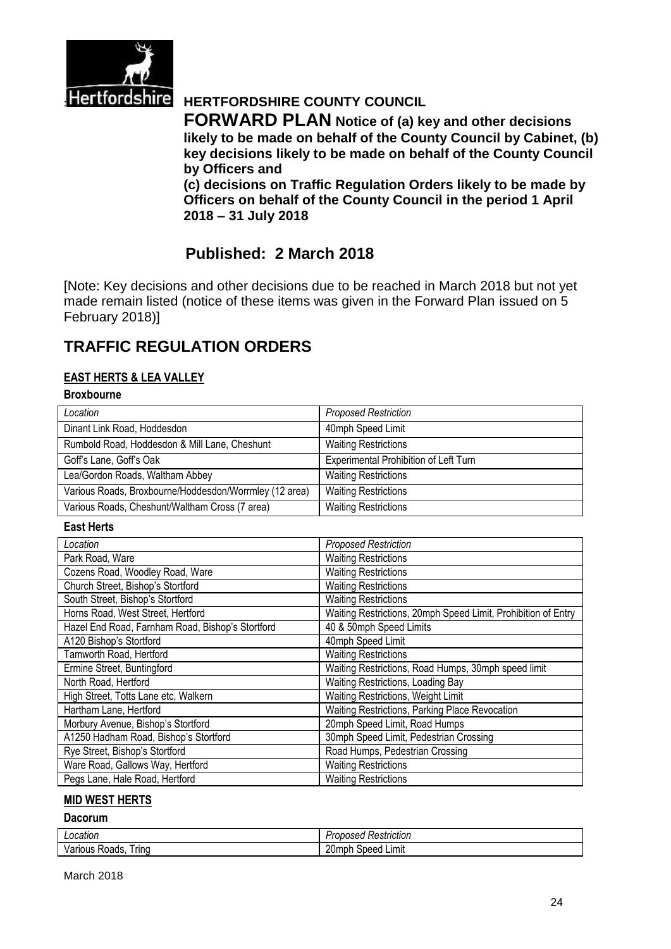

# **Hertfordshire** HERTFORDSHIRE COUNTY COUNCIL

**FORWARD PLAN Notice of (a) key and other decisions likely to be made on behalf of the County Council by Cabinet, (b) key decisions likely to be made on behalf of the County Council by Officers and** 

**(c) decisions on Traffic Regulation Orders likely to be made by Officers on behalf of the County Council in the period 1 April 2018 – 31 July 2018**

# **Published: 2 March 2018**

[Note: Key decisions and other decisions due to be reached in March 2018 but not yet made remain listed (notice of these items was given in the Forward Plan issued on 5 February 2018)]

# **TRAFFIC REGULATION ORDERS**

## **EAST HERTS & LEA VALLEY**

## **Broxbourne**

| Location                                               | <b>Proposed Restriction</b>           |
|--------------------------------------------------------|---------------------------------------|
| Dinant Link Road, Hoddesdon                            | 40mph Speed Limit                     |
| Rumbold Road, Hoddesdon & Mill Lane, Cheshunt          | <b>Waiting Restrictions</b>           |
| Goff's Lane, Goff's Oak                                | Experimental Prohibition of Left Turn |
| Lea/Gordon Roads, Waltham Abbey                        | <b>Waiting Restrictions</b>           |
| Various Roads, Broxbourne/Hoddesdon/Worrmley (12 area) | <b>Waiting Restrictions</b>           |
| Various Roads, Cheshunt/Waltham Cross (7 area)         | <b>Waiting Restrictions</b>           |

#### **East Herts**

| Location                                         | <b>Proposed Restriction</b>                                   |
|--------------------------------------------------|---------------------------------------------------------------|
| Park Road, Ware                                  | <b>Waiting Restrictions</b>                                   |
| Cozens Road, Woodley Road, Ware                  | <b>Waiting Restrictions</b>                                   |
| Church Street, Bishop's Stortford                | <b>Waiting Restrictions</b>                                   |
| South Street, Bishop's Stortford                 | <b>Waiting Restrictions</b>                                   |
| Horns Road, West Street, Hertford                | Waiting Restrictions, 20mph Speed Limit, Prohibition of Entry |
| Hazel End Road, Farnham Road, Bishop's Stortford | 40 & 50mph Speed Limits                                       |
| A120 Bishop's Stortford                          | 40mph Speed Limit                                             |
| Tamworth Road, Hertford                          | <b>Waiting Restrictions</b>                                   |
| Ermine Street, Buntingford                       | Waiting Restrictions, Road Humps, 30mph speed limit           |
| North Road, Hertford                             | Waiting Restrictions, Loading Bay                             |
| High Street, Totts Lane etc, Walkern             | Waiting Restrictions, Weight Limit                            |
| Hartham Lane, Hertford                           | Waiting Restrictions, Parking Place Revocation                |
| Morbury Avenue, Bishop's Stortford               | 20mph Speed Limit, Road Humps                                 |
| A1250 Hadham Road, Bishop's Stortford            | 30mph Speed Limit, Pedestrian Crossing                        |
| Rye Street, Bishop's Stortford                   | Road Humps, Pedestrian Crossing                               |
| Ware Road, Gallows Way, Hertford                 | <b>Waiting Restrictions</b>                                   |
| Pegs Lane, Hale Road, Hertford                   | <b>Waiting Restrictions</b>                                   |

#### **MID WEST HERTS**

#### **Dacorum**

| ncatior<br>ation:          | estriction<br>$\sim$ $\sim$ $\sim$<br>iset<br>,,,,<br>.<br>150 |
|----------------------------|----------------------------------------------------------------|
| . .<br>ring<br>אטסיד.<br>ີ | nr<br>∟ımıt<br>ndr<br>–∪⊡<br>∵eeu                              |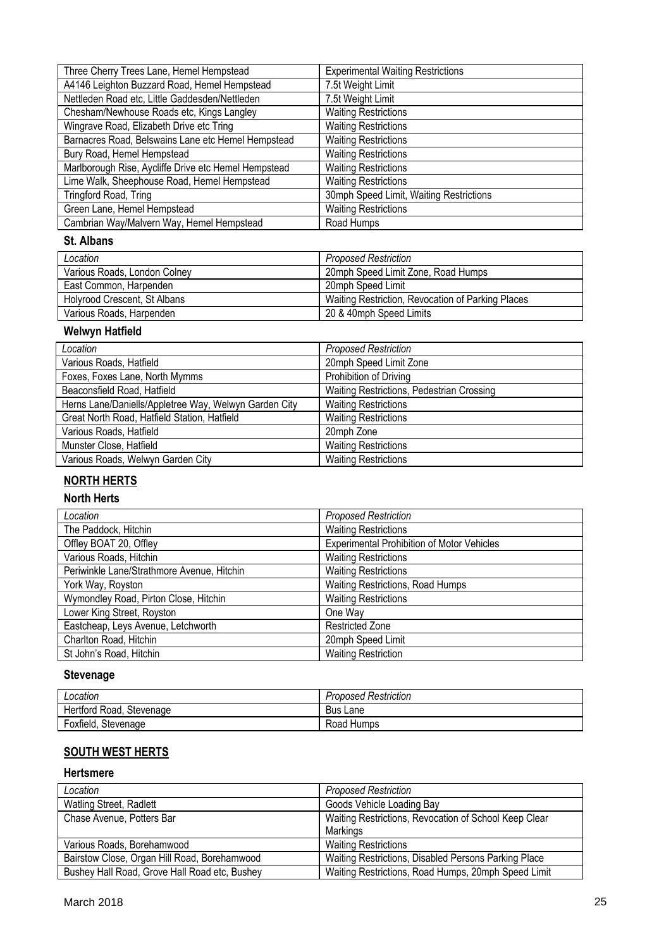| Three Cherry Trees Lane, Hemel Hempstead             | <b>Experimental Waiting Restrictions</b> |
|------------------------------------------------------|------------------------------------------|
| A4146 Leighton Buzzard Road, Hemel Hempstead         | 7.5t Weight Limit                        |
| Nettleden Road etc, Little Gaddesden/Nettleden       | 7.5t Weight Limit                        |
| Chesham/Newhouse Roads etc, Kings Langley            | <b>Waiting Restrictions</b>              |
| Wingrave Road, Elizabeth Drive etc Tring             | <b>Waiting Restrictions</b>              |
| Barnacres Road, Belswains Lane etc Hemel Hempstead   | <b>Waiting Restrictions</b>              |
| Bury Road, Hemel Hempstead                           | <b>Waiting Restrictions</b>              |
| Marlborough Rise, Aycliffe Drive etc Hemel Hempstead | <b>Waiting Restrictions</b>              |
| Lime Walk, Sheephouse Road, Hemel Hempstead          | <b>Waiting Restrictions</b>              |
| Tringford Road, Tring                                | 30mph Speed Limit, Waiting Restrictions  |
| Green Lane, Hemel Hempstead                          | <b>Waiting Restrictions</b>              |
| Cambrian Way/Malvern Way, Hemel Hempstead            | Road Humps                               |

### **St. Albans**

| Location                     | <b>Proposed Restriction</b>                       |
|------------------------------|---------------------------------------------------|
| Various Roads, London Colney | 20mph Speed Limit Zone, Road Humps                |
| East Common, Harpenden       | 20mph Speed Limit                                 |
| Holyrood Crescent, St Albans | Waiting Restriction, Revocation of Parking Places |
| Various Roads, Harpenden     | 20 & 40mph Speed Limits                           |

# **Welwyn Hatfield**

| Location                                              | <b>Proposed Restriction</b>               |
|-------------------------------------------------------|-------------------------------------------|
| Various Roads, Hatfield                               | 20mph Speed Limit Zone                    |
| Foxes, Foxes Lane, North Mymms                        | Prohibition of Driving                    |
| Beaconsfield Road, Hatfield                           | Waiting Restrictions, Pedestrian Crossing |
| Herns Lane/Daniells/Appletree Way, Welwyn Garden City | <b>Waiting Restrictions</b>               |
| Great North Road, Hatfield Station, Hatfield          | <b>Waiting Restrictions</b>               |
| Various Roads, Hatfield                               | 20mph Zone                                |
| Munster Close, Hatfield                               | <b>Waiting Restrictions</b>               |
| Various Roads, Welwyn Garden City                     | <b>Waiting Restrictions</b>               |
|                                                       |                                           |

# **NORTH HERTS**

#### **North Herts**

| Location                                   | <b>Proposed Restriction</b>                       |
|--------------------------------------------|---------------------------------------------------|
| The Paddock, Hitchin                       | <b>Waiting Restrictions</b>                       |
| Offley BOAT 20, Offley                     | <b>Experimental Prohibition of Motor Vehicles</b> |
| Various Roads, Hitchin                     | <b>Waiting Restrictions</b>                       |
| Periwinkle Lane/Strathmore Avenue, Hitchin | <b>Waiting Restrictions</b>                       |
| York Way, Royston                          | Waiting Restrictions, Road Humps                  |
| Wymondley Road, Pirton Close, Hitchin      | <b>Waiting Restrictions</b>                       |
| Lower King Street, Royston                 | One Way                                           |
| Eastcheap, Leys Avenue, Letchworth         | <b>Restricted Zone</b>                            |
| Charlton Road, Hitchin                     | 20mph Speed Limit                                 |
| St John's Road, Hitchin                    | <b>Waiting Restriction</b>                        |

# **Stevenage**

| Location                 | <b>Proposed Restriction</b> |
|--------------------------|-----------------------------|
| Hertford Road, Stevenage | <b>Bus</b><br>Lane          |
| Foxfield, Stevenage      | Road Humps                  |

# **SOUTH WEST HERTS**

### **Hertsmere**

| Location                                      | <b>Proposed Restriction</b>                           |
|-----------------------------------------------|-------------------------------------------------------|
| Watling Street, Radlett                       | Goods Vehicle Loading Bay                             |
| Chase Avenue, Potters Bar                     | Waiting Restrictions, Revocation of School Keep Clear |
|                                               | Markings                                              |
| Various Roads, Borehamwood                    | <b>Waiting Restrictions</b>                           |
| Bairstow Close, Organ Hill Road, Borehamwood  | Waiting Restrictions, Disabled Persons Parking Place  |
| Bushey Hall Road, Grove Hall Road etc, Bushey | Waiting Restrictions, Road Humps, 20mph Speed Limit   |